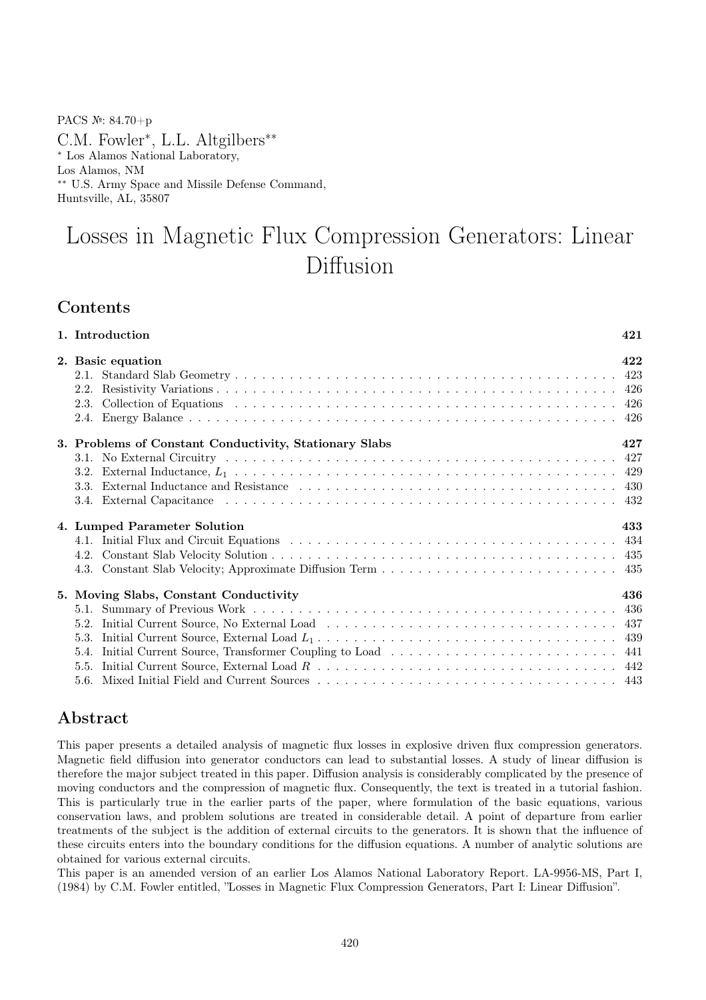PACS №: 84.70+p

C.M. Fowler<sup>∗</sup> , L.L. Altgilbers∗∗ ∗ Los Alamos National Laboratory, Los Alamos, NM ∗∗ U.S. Army Space and Missile Defense Command, Huntsville, AL, 35807

# Losses in Magnetic Flux Compression Generators: Linear Diffusion

# **Contents**

| 1. Introduction                                                        | 421 |
|------------------------------------------------------------------------|-----|
| 2. Basic equation<br>2.2.                                              | 422 |
| 3. Problems of Constant Conductivity, Stationary Slabs                 | 427 |
| 4. Lumped Parameter Solution                                           | 433 |
| 5. Moving Slabs, Constant Conductivity<br>5.2.<br>5.3.<br>5.4.<br>5.5. | 436 |

# Abstract

This paper presents a detailed analysis of magnetic flux losses in explosive driven flux compression generators. Magnetic field diffusion into generator conductors can lead to substantial losses. A study of linear diffusion is therefore the major subject treated in this paper. Diffusion analysis is considerably complicated by the presence of moving conductors and the compression of magnetic flux. Consequently, the text is treated in a tutorial fashion. This is particularly true in the earlier parts of the paper, where formulation of the basic equations, various conservation laws, and problem solutions are treated in considerable detail. A point of departure from earlier treatments of the subject is the addition of external circuits to the generators. It is shown that the influence of these circuits enters into the boundary conditions for the diffusion equations. A number of analytic solutions are obtained for various external circuits.

This paper is an amended version of an earlier Los Alamos National Laboratory Report. LA-9956-MS, Part I, (1984) by C.M. Fowler entitled, "Losses in Magnetic Flux Compression Generators, Part I: Linear Diffusion".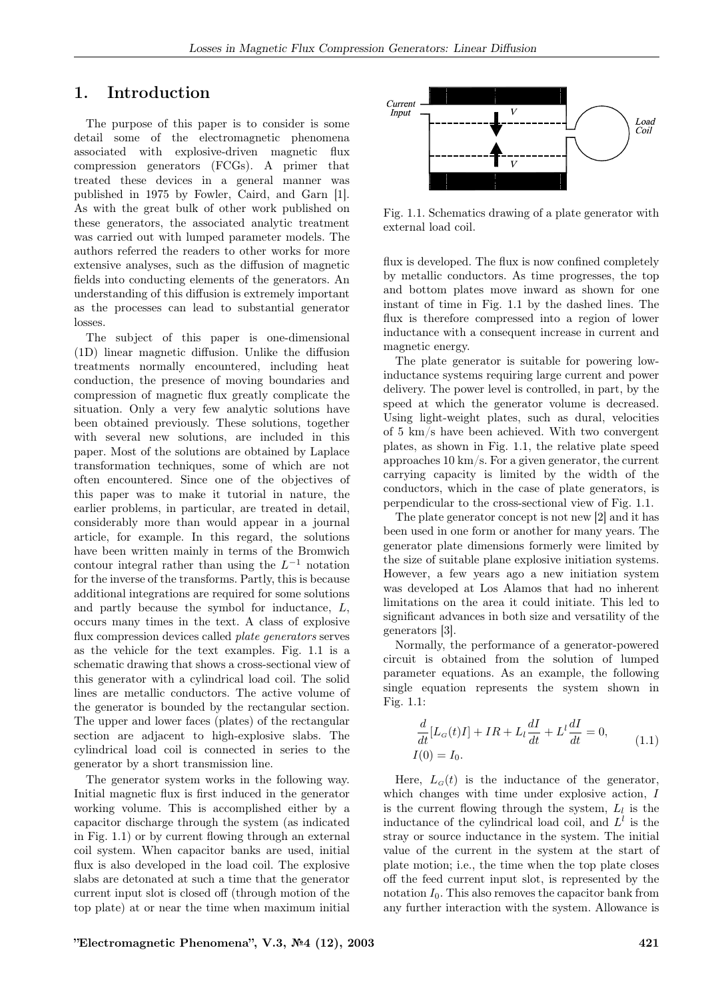# 1. Introduction

The purpose of this paper is to consider is some detail some of the electromagnetic phenomena associated with explosive-driven magnetic flux compression generators (FCGs). A primer that treated these devices in a general manner was published in 1975 by Fowler, Caird, and Garn [1]. As with the great bulk of other work published on these generators, the associated analytic treatment was carried out with lumped parameter models. The authors referred the readers to other works for more extensive analyses, such as the diffusion of magnetic fields into conducting elements of the generators. An understanding of this diffusion is extremely important as the processes can lead to substantial generator losses.

The subject of this paper is one-dimensional (1D) linear magnetic diffusion. Unlike the diffusion treatments normally encountered, including heat conduction, the presence of moving boundaries and compression of magnetic flux greatly complicate the situation. Only a very few analytic solutions have been obtained previously. These solutions, together with several new solutions, are included in this paper. Most of the solutions are obtained by Laplace transformation techniques, some of which are not often encountered. Since one of the objectives of this paper was to make it tutorial in nature, the earlier problems, in particular, are treated in detail, considerably more than would appear in a journal article, for example. In this regard, the solutions have been written mainly in terms of the Bromwich contour integral rather than using the  $L^{-1}$  notation for the inverse of the transforms. Partly, this is because additional integrations are required for some solutions and partly because the symbol for inductance, L, occurs many times in the text. A class of explosive flux compression devices called plate generators serves as the vehicle for the text examples. Fig. 1.1 is a schematic drawing that shows a cross-sectional view of this generator with a cylindrical load coil. The solid lines are metallic conductors. The active volume of the generator is bounded by the rectangular section. The upper and lower faces (plates) of the rectangular section are adjacent to high-explosive slabs. The cylindrical load coil is connected in series to the generator by a short transmission line.

The generator system works in the following way. Initial magnetic flux is first induced in the generator working volume. This is accomplished either by a capacitor discharge through the system (as indicated in Fig. 1.1) or by current flowing through an external coil system. When capacitor banks are used, initial flux is also developed in the load coil. The explosive slabs are detonated at such a time that the generator current input slot is closed off (through motion of the top plate) at or near the time when maximum initial



Fig. 1.1. Schematics drawing of a plate generator with external load coil.

flux is developed. The flux is now confined completely by metallic conductors. As time progresses, the top and bottom plates move inward as shown for one instant of time in Fig. 1.1 by the dashed lines. The flux is therefore compressed into a region of lower inductance with a consequent increase in current and magnetic energy.

The plate generator is suitable for powering lowinductance systems requiring large current and power delivery. The power level is controlled, in part, by the speed at which the generator volume is decreased. Using light-weight plates, such as dural, velocities of 5 km/s have been achieved. With two convergent plates, as shown in Fig. 1.1, the relative plate speed approaches 10 km/s. For a given generator, the current carrying capacity is limited by the width of the conductors, which in the case of plate generators, is perpendicular to the cross-sectional view of Fig. 1.1.

The plate generator concept is not new [2] and it has been used in one form or another for many years. The generator plate dimensions formerly were limited by the size of suitable plane explosive initiation systems. However, a few years ago a new initiation system was developed at Los Alamos that had no inherent limitations on the area it could initiate. This led to significant advances in both size and versatility of the generators [3].

Normally, the performance of a generator-powered circuit is obtained from the solution of lumped parameter equations. As an example, the following single equation represents the system shown in Fig. 1.1:

$$
\frac{d}{dt}[L_G(t)I] + IR + L_l \frac{dI}{dt} + L^l \frac{dI}{dt} = 0,
$$
\n(1.1)

Here,  $L_G(t)$  is the inductance of the generator, which changes with time under explosive action, I is the current flowing through the system,  $L_l$  is the inductance of the cylindrical load coil, and  $L^l$  is the stray or source inductance in the system. The initial value of the current in the system at the start of plate motion; i.e., the time when the top plate closes off the feed current input slot, is represented by the notation  $I_0$ . This also removes the capacitor bank from any further interaction with the system. Allowance is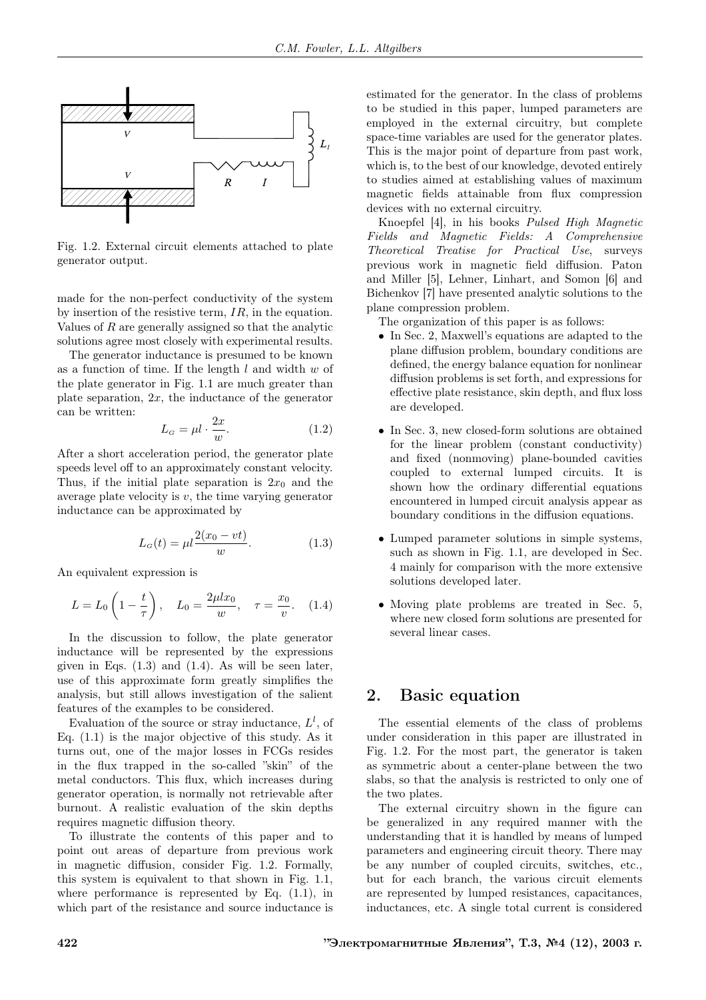

Fig. 1.2. External circuit elements attached to plate generator output.

made for the non-perfect conductivity of the system by insertion of the resistive term, IR, in the equation. Values of R are generally assigned so that the analytic solutions agree most closely with experimental results.

The generator inductance is presumed to be known as a function of time. If the length  $l$  and width  $w$  of the plate generator in Fig. 1.1 are much greater than plate separation,  $2x$ , the inductance of the generator can be written:

$$
L_G = \mu l \cdot \frac{2x}{w}.\tag{1.2}
$$

After a short acceleration period, the generator plate speeds level off to an approximately constant velocity. Thus, if the initial plate separation is  $2x_0$  and the average plate velocity is  $v$ , the time varying generator inductance can be approximated by

$$
L_G(t) = \mu l \frac{2(x_0 - vt)}{w}.
$$
 (1.3)

An equivalent expression is

$$
L = L_0 \left( 1 - \frac{t}{\tau} \right), \quad L_0 = \frac{2\mu lx_0}{w}, \quad \tau = \frac{x_0}{v}.
$$
 (1.4)

In the discussion to follow, the plate generator inductance will be represented by the expressions given in Eqs.  $(1.3)$  and  $(1.4)$ . As will be seen later, use of this approximate form greatly simplifies the analysis, but still allows investigation of the salient features of the examples to be considered.

Evaluation of the source or stray inductance,  $L^l$ , of Eq. (1.1) is the major objective of this study. As it turns out, one of the major losses in FCGs resides in the flux trapped in the so-called "skin" of the metal conductors. This flux, which increases during generator operation, is normally not retrievable after burnout. A realistic evaluation of the skin depths requires magnetic diffusion theory.

To illustrate the contents of this paper and to point out areas of departure from previous work in magnetic diffusion, consider Fig. 1.2. Formally, this system is equivalent to that shown in Fig. 1.1, where performance is represented by Eq.  $(1.1)$ , in which part of the resistance and source inductance is estimated for the generator. In the class of problems to be studied in this paper, lumped parameters are employed in the external circuitry, but complete space-time variables are used for the generator plates. This is the major point of departure from past work, which is, to the best of our knowledge, devoted entirely to studies aimed at establishing values of maximum magnetic fields attainable from flux compression devices with no external circuitry.

Knoepfel [4], in his books Pulsed High Magnetic Fields and Magnetic Fields: A Comprehensive Theoretical Treatise for Practical Use, surveys previous work in magnetic field diffusion. Paton and Miller [5], Lehner, Linhart, and Somon [6] and Bichenkov [7] have presented analytic solutions to the plane compression problem.

The organization of this paper is as follows:

- In Sec. 2, Maxwell's equations are adapted to the plane diffusion problem, boundary conditions are defined, the energy balance equation for nonlinear diffusion problems is set forth, and expressions for effective plate resistance, skin depth, and flux loss are developed.
- In Sec. 3, new closed-form solutions are obtained for the linear problem (constant conductivity) and fixed (nonmoving) plane-bounded cavities coupled to external lumped circuits. It is shown how the ordinary differential equations encountered in lumped circuit analysis appear as boundary conditions in the diffusion equations.
- Lumped parameter solutions in simple systems, such as shown in Fig. 1.1, are developed in Sec. 4 mainly for comparison with the more extensive solutions developed later.
- Moving plate problems are treated in Sec. 5, where new closed form solutions are presented for several linear cases.

# 2. Basic equation

The essential elements of the class of problems under consideration in this paper are illustrated in Fig. 1.2. For the most part, the generator is taken as symmetric about a center-plane between the two slabs, so that the analysis is restricted to only one of the two plates.

The external circuitry shown in the figure can be generalized in any required manner with the understanding that it is handled by means of lumped parameters and engineering circuit theory. There may be any number of coupled circuits, switches, etc., but for each branch, the various circuit elements are represented by lumped resistances, capacitances, inductances, etc. A single total current is considered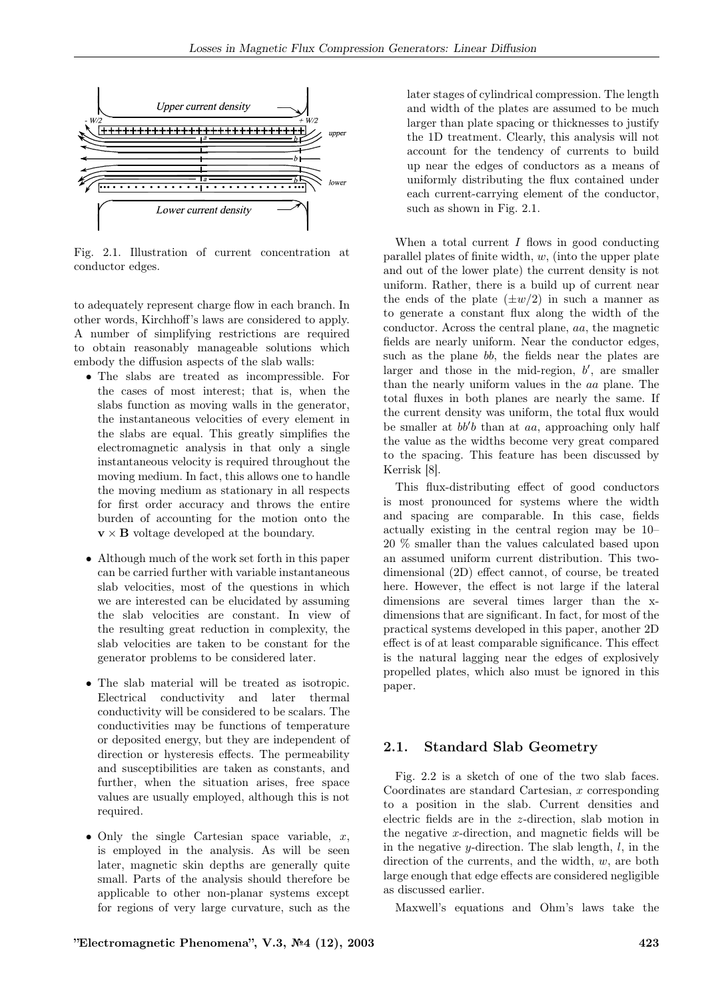

Fig. 2.1. Illustration of current concentration at conductor edges.

to adequately represent charge flow in each branch. In other words, Kirchhoff's laws are considered to apply. A number of simplifying restrictions are required to obtain reasonably manageable solutions which embody the diffusion aspects of the slab walls:

- The slabs are treated as incompressible. For the cases of most interest; that is, when the slabs function as moving walls in the generator, the instantaneous velocities of every element in the slabs are equal. This greatly simplifies the electromagnetic analysis in that only a single instantaneous velocity is required throughout the moving medium. In fact, this allows one to handle the moving medium as stationary in all respects for first order accuracy and throws the entire burden of accounting for the motion onto the  $\mathbf{v} \times \mathbf{B}$  voltage developed at the boundary.
- Although much of the work set forth in this paper can be carried further with variable instantaneous slab velocities, most of the questions in which we are interested can be elucidated by assuming the slab velocities are constant. In view of the resulting great reduction in complexity, the slab velocities are taken to be constant for the generator problems to be considered later.
- The slab material will be treated as isotropic. Electrical conductivity and later thermal conductivity will be considered to be scalars. The conductivities may be functions of temperature or deposited energy, but they are independent of direction or hysteresis effects. The permeability and susceptibilities are taken as constants, and further, when the situation arises, free space values are usually employed, although this is not required.
- Only the single Cartesian space variable,  $x$ , is employed in the analysis. As will be seen later, magnetic skin depths are generally quite small. Parts of the analysis should therefore be applicable to other non-planar systems except for regions of very large curvature, such as the

later stages of cylindrical compression. The length and width of the plates are assumed to be much larger than plate spacing or thicknesses to justify the 1D treatment. Clearly, this analysis will not account for the tendency of currents to build up near the edges of conductors as a means of uniformly distributing the flux contained under each current-carrying element of the conductor, such as shown in Fig. 2.1.

When a total current  $I$  flows in good conducting parallel plates of finite width,  $w$ , (into the upper plate and out of the lower plate) the current density is not uniform. Rather, there is a build up of current near the ends of the plate  $(\pm w/2)$  in such a manner as to generate a constant flux along the width of the conductor. Across the central plane, aa, the magnetic fields are nearly uniform. Near the conductor edges, such as the plane bb, the fields near the plates are larger and those in the mid-region,  $b'$ , are smaller than the nearly uniform values in the aa plane. The total fluxes in both planes are nearly the same. If the current density was uniform, the total flux would be smaller at  $bb'b$  than at aa, approaching only half the value as the widths become very great compared to the spacing. This feature has been discussed by Kerrisk [8].

This flux-distributing effect of good conductors is most pronounced for systems where the width and spacing are comparable. In this case, fields actually existing in the central region may be 10– 20 % smaller than the values calculated based upon an assumed uniform current distribution. This twodimensional (2D) effect cannot, of course, be treated here. However, the effect is not large if the lateral dimensions are several times larger than the xdimensions that are significant. In fact, for most of the practical systems developed in this paper, another 2D effect is of at least comparable significance. This effect is the natural lagging near the edges of explosively propelled plates, which also must be ignored in this paper.

### 2.1. Standard Slab Geometry

Fig. 2.2 is a sketch of one of the two slab faces. Coordinates are standard Cartesian,  $x$  corresponding to a position in the slab. Current densities and electric fields are in the z-direction, slab motion in the negative  $x$ -direction, and magnetic fields will be in the negative  $y$ -direction. The slab length,  $l$ , in the direction of the currents, and the width, w, are both large enough that edge effects are considered negligible as discussed earlier.

Maxwell's equations and Ohm's laws take the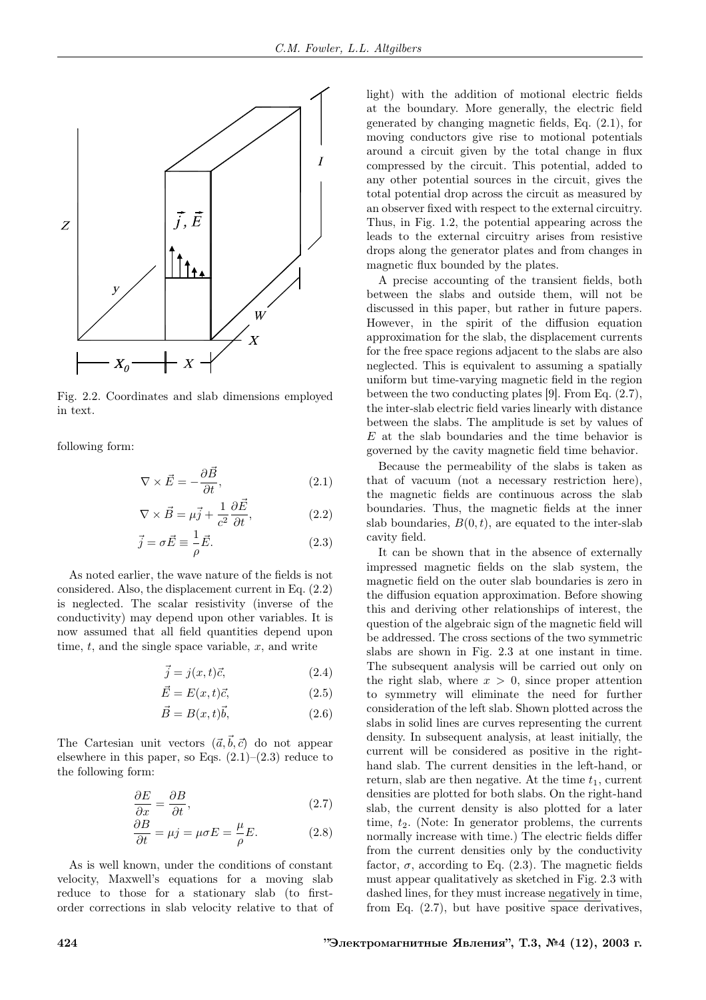

Fig. 2.2. Coordinates and slab dimensions employed in text.

following form:

$$
\nabla \times \vec{E} = -\frac{\partial \vec{B}}{\partial t},\tag{2.1}
$$

$$
\nabla \times \vec{B} = \mu \vec{j} + \frac{1}{c^2} \frac{\partial \vec{E}}{\partial t},
$$
 (2.2)

$$
\vec{j} = \sigma \vec{E} \equiv \frac{1}{\rho} \vec{E}.
$$
 (2.3)

As noted earlier, the wave nature of the fields is not considered. Also, the displacement current in Eq. (2.2) is neglected. The scalar resistivity (inverse of the conductivity) may depend upon other variables. It is now assumed that all field quantities depend upon time,  $t$ , and the single space variable,  $x$ , and write

$$
\vec{j} = j(x, t)\vec{c},\tag{2.4}
$$

$$
\vec{E} = E(x, t)\vec{c},\tag{2.5}
$$

$$
\vec{B} = B(x, t)\vec{b},\tag{2.6}
$$

The Cartesian unit vectors  $(\vec{a}, \vec{b}, \vec{c})$  do not appear elsewhere in this paper, so Eqs.  $(2.1)$ – $(2.3)$  reduce to the following form:

$$
\frac{\partial E}{\partial x} = \frac{\partial B}{\partial t},\tag{2.7}
$$

$$
\frac{\partial B}{\partial t} = \mu j = \mu \sigma E = \frac{\mu}{\rho} E. \tag{2.8}
$$

As is well known, under the conditions of constant velocity, Maxwell's equations for a moving slab reduce to those for a stationary slab (to firstorder corrections in slab velocity relative to that of light) with the addition of motional electric fields at the boundary. More generally, the electric field generated by changing magnetic fields, Eq. (2.1), for moving conductors give rise to motional potentials around a circuit given by the total change in flux compressed by the circuit. This potential, added to any other potential sources in the circuit, gives the total potential drop across the circuit as measured by an observer fixed with respect to the external circuitry. Thus, in Fig. 1.2, the potential appearing across the leads to the external circuitry arises from resistive drops along the generator plates and from changes in magnetic flux bounded by the plates.

A precise accounting of the transient fields, both between the slabs and outside them, will not be discussed in this paper, but rather in future papers. However, in the spirit of the diffusion equation approximation for the slab, the displacement currents for the free space regions adjacent to the slabs are also neglected. This is equivalent to assuming a spatially uniform but time-varying magnetic field in the region between the two conducting plates [9]. From Eq. (2.7), the inter-slab electric field varies linearly with distance between the slabs. The amplitude is set by values of  $E$  at the slab boundaries and the time behavior is governed by the cavity magnetic field time behavior.

Because the permeability of the slabs is taken as that of vacuum (not a necessary restriction here), the magnetic fields are continuous across the slab boundaries. Thus, the magnetic fields at the inner slab boundaries,  $B(0, t)$ , are equated to the inter-slab cavity field.

It can be shown that in the absence of externally impressed magnetic fields on the slab system, the magnetic field on the outer slab boundaries is zero in the diffusion equation approximation. Before showing this and deriving other relationships of interest, the question of the algebraic sign of the magnetic field will be addressed. The cross sections of the two symmetric slabs are shown in Fig. 2.3 at one instant in time. The subsequent analysis will be carried out only on the right slab, where  $x > 0$ , since proper attention to symmetry will eliminate the need for further consideration of the left slab. Shown plotted across the slabs in solid lines are curves representing the current density. In subsequent analysis, at least initially, the current will be considered as positive in the righthand slab. The current densities in the left-hand, or return, slab are then negative. At the time  $t_1$ , current densities are plotted for both slabs. On the right-hand slab, the current density is also plotted for a later time,  $t_2$ . (Note: In generator problems, the currents normally increase with time.) The electric fields differ from the current densities only by the conductivity factor,  $\sigma$ , according to Eq. (2.3). The magnetic fields must appear qualitatively as sketched in Fig. 2.3 with dashed lines, for they must increase negatively in time, from Eq. (2.7), but have positive space derivatives,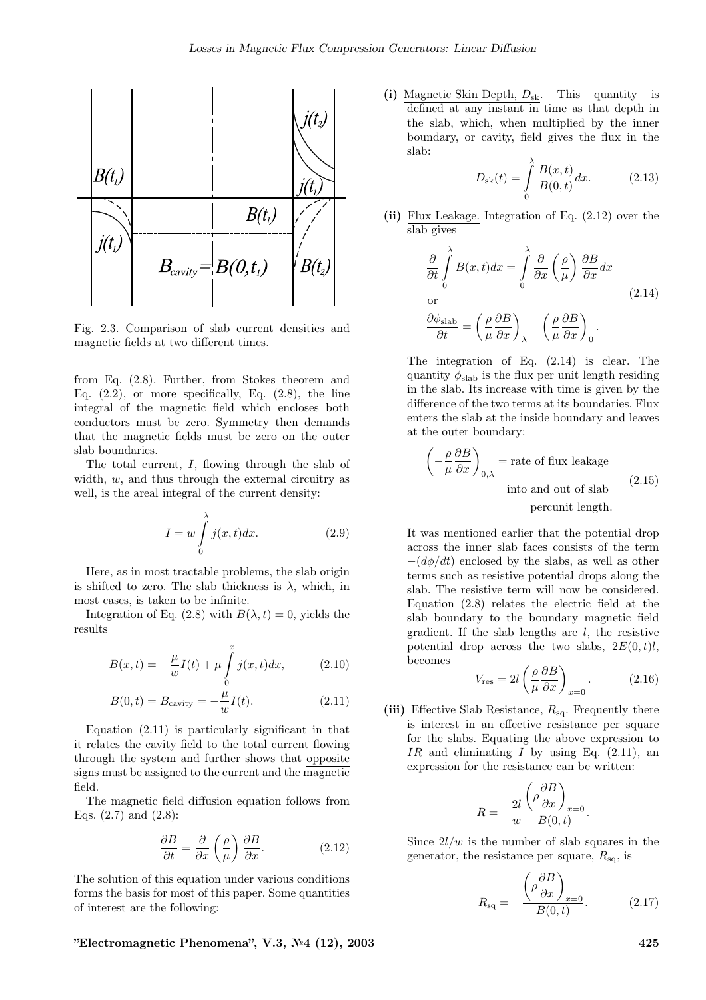

Fig. 2.3. Comparison of slab current densities and magnetic fields at two different times.

from Eq. (2.8). Further, from Stokes theorem and Eq.  $(2.2)$ , or more specifically, Eq.  $(2.8)$ , the line integral of the magnetic field which encloses both conductors must be zero. Symmetry then demands that the magnetic fields must be zero on the outer slab boundaries.

The total current, I, flowing through the slab of width,  $w$ , and thus through the external circuitry as well, is the areal integral of the current density:

$$
I = w \int_{0}^{\lambda} j(x, t) dx.
$$
 (2.9)

Here, as in most tractable problems, the slab origin is shifted to zero. The slab thickness is  $\lambda$ , which, in most cases, is taken to be infinite.

Integration of Eq. (2.8) with  $B(\lambda, t) = 0$ , yields the results

$$
B(x,t) = -\frac{\mu}{w}I(t) + \mu \int_{0}^{x} j(x,t)dx,
$$
 (2.10)

$$
B(0, t) = B_{\text{cavity}} = -\frac{\mu}{w} I(t).
$$
 (2.11)

Equation  $(2.11)$  is particularly significant in that it relates the cavity field to the total current flowing through the system and further shows that opposite signs must be assigned to the current and the magnetic field.

The magnetic field diffusion equation follows from Eqs. (2.7) and (2.8):

$$
\frac{\partial B}{\partial t} = \frac{\partial}{\partial x} \left( \frac{\rho}{\mu} \right) \frac{\partial B}{\partial x}.
$$
 (2.12)

The solution of this equation under various conditions forms the basis for most of this paper. Some quantities of interest are the following:

 $"Electromagnetic Phenomena", V.3, N<sup>2</sup>4 (12), 2003$  425

(i) Magnetic Skin Depth,  $D_{sk}$ . This quantity is defined at any instant in time as that depth in the slab, which, when multiplied by the inner boundary, or cavity, field gives the flux in the slab:

$$
D_{\rm sk}(t) = \int_{0}^{\lambda} \frac{B(x, t)}{B(0, t)} dx.
$$
 (2.13)

(ii) Flux Leakage. Integration of Eq. (2.12) over the slab gives

$$
\frac{\partial}{\partial t} \int_{0}^{\lambda} B(x, t) dx = \int_{0}^{\lambda} \frac{\partial}{\partial x} \left(\frac{\rho}{\mu}\right) \frac{\partial B}{\partial x} dx
$$
\nor\n
$$
\frac{\partial \phi_{\text{slab}}}{\partial t} = \left(\frac{\rho}{\mu} \frac{\partial B}{\partial x}\right)_{\lambda} - \left(\frac{\rho}{\mu} \frac{\partial B}{\partial x}\right)_{0}.
$$
\n(2.14)

The integration of Eq. (2.14) is clear. The quantity  $\phi_{\text{slab}}$  is the flux per unit length residing in the slab. Its increase with time is given by the difference of the two terms at its boundaries. Flux enters the slab at the inside boundary and leaves at the outer boundary:

$$
\left(-\frac{\rho}{\mu}\frac{\partial B}{\partial x}\right)_{0,\lambda} = \text{rate of flux leakage}
$$
  
into and out of slab  
percent length. (2.15)

It was mentioned earlier that the potential drop across the inner slab faces consists of the term  $-(d\phi/dt)$  enclosed by the slabs, as well as other terms such as resistive potential drops along the slab. The resistive term will now be considered. Equation (2.8) relates the electric field at the slab boundary to the boundary magnetic field gradient. If the slab lengths are  $l$ , the resistive potential drop across the two slabs,  $2E(0, t)l$ , becomes

$$
V_{\rm res} = 2l \left( \frac{\rho}{\mu} \frac{\partial B}{\partial x} \right)_{x=0}.
$$
 (2.16)

(iii) Effective Slab Resistance,  $R_{sq}$ . Frequently there is interest in an effective resistance per square for the slabs. Equating the above expression to IR and eliminating I by using Eq.  $(2.11)$ , an expression for the resistance can be written:

$$
R = -\frac{2l}{w} \frac{\left(\rho \frac{\partial B}{\partial x}\right)_{x=0}}{B(0,t)}.
$$

Since  $2l/w$  is the number of slab squares in the generator, the resistance per square,  $R_{\text{sq}}$ , is

$$
R_{\rm sq} = -\frac{\left(\rho \frac{\partial B}{\partial x}\right)_{x=0}}{B(0,t)}.\tag{2.17}
$$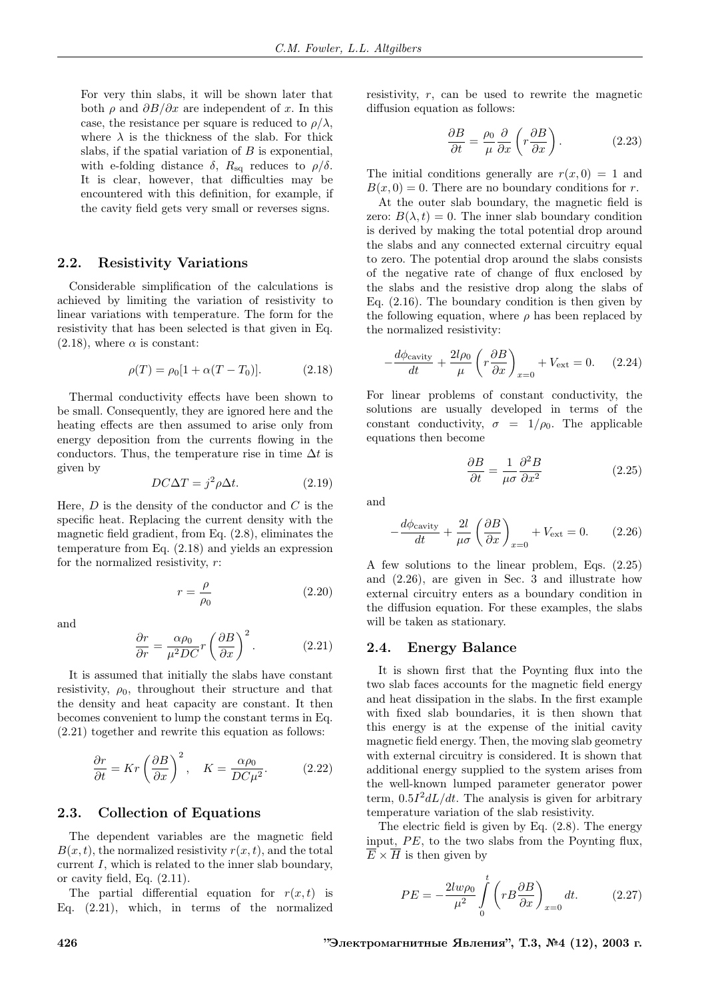For very thin slabs, it will be shown later that both  $\rho$  and  $\partial B/\partial x$  are independent of x. In this case, the resistance per square is reduced to  $\rho/\lambda$ , where  $\lambda$  is the thickness of the slab. For thick slabs, if the spatial variation of  $B$  is exponential, with e-folding distance  $\delta$ ,  $R_{\text{sq}}$  reduces to  $\rho/\delta$ . It is clear, however, that difficulties may be encountered with this definition, for example, if the cavity field gets very small or reverses signs.

#### 2.2. Resistivity Variations

Considerable simplification of the calculations is achieved by limiting the variation of resistivity to linear variations with temperature. The form for the resistivity that has been selected is that given in Eq.  $(2.18)$ , where  $\alpha$  is constant:

$$
\rho(T) = \rho_0[1 + \alpha(T - T_0)].
$$
\n(2.18)

Thermal conductivity effects have been shown to be small. Consequently, they are ignored here and the heating effects are then assumed to arise only from energy deposition from the currents flowing in the conductors. Thus, the temperature rise in time  $\Delta t$  is given by

$$
DC\Delta T = j^2 \rho \Delta t. \tag{2.19}
$$

Here,  $D$  is the density of the conductor and  $C$  is the specific heat. Replacing the current density with the magnetic field gradient, from Eq. (2.8), eliminates the temperature from Eq. (2.18) and yields an expression for the normalized resistivity,  $r$ :

> $r = \frac{\rho}{\rho}$  $\rho_0$

and

$$
\frac{\partial r}{\partial r} = \frac{\alpha \rho_0}{\mu^2 DC} r \left(\frac{\partial B}{\partial x}\right)^2.
$$
 (2.21)

It is assumed that initially the slabs have constant resistivity,  $\rho_0$ , throughout their structure and that the density and heat capacity are constant. It then becomes convenient to lump the constant terms in Eq. (2.21) together and rewrite this equation as follows:

$$
\frac{\partial r}{\partial t} = Kr \left(\frac{\partial B}{\partial x}\right)^2, \quad K = \frac{\alpha \rho_0}{DC\mu^2}.
$$
 (2.22)

#### 2.3. Collection of Equations

The dependent variables are the magnetic field  $B(x, t)$ , the normalized resistivity  $r(x, t)$ , and the total current I, which is related to the inner slab boundary, or cavity field, Eq. (2.11).

The partial differential equation for  $r(x, t)$  is Eq. (2.21), which, in terms of the normalized resistivity,  $r$ , can be used to rewrite the magnetic diffusion equation as follows:

$$
\frac{\partial B}{\partial t} = \frac{\rho_0}{\mu} \frac{\partial}{\partial x} \left( r \frac{\partial B}{\partial x} \right). \tag{2.23}
$$

The initial conditions generally are  $r(x, 0) = 1$  and  $B(x, 0) = 0$ . There are no boundary conditions for r.

At the outer slab boundary, the magnetic field is zero:  $B(\lambda, t) = 0$ . The inner slab boundary condition is derived by making the total potential drop around the slabs and any connected external circuitry equal to zero. The potential drop around the slabs consists of the negative rate of change of flux enclosed by the slabs and the resistive drop along the slabs of Eq. (2.16). The boundary condition is then given by the following equation, where  $\rho$  has been replaced by the normalized resistivity:

$$
-\frac{d\phi_{\text{cavity}}}{dt} + \frac{2l\rho_0}{\mu} \left(r\frac{\partial B}{\partial x}\right)_{x=0} + V_{\text{ext}} = 0. \quad (2.24)
$$

For linear problems of constant conductivity, the solutions are usually developed in terms of the constant conductivity,  $\sigma = 1/\rho_0$ . The applicable equations then become

$$
\frac{\partial B}{\partial t} = \frac{1}{\mu \sigma} \frac{\partial^2 B}{\partial x^2}
$$
 (2.25)

and

(2.20)

$$
-\frac{d\phi_{\text{cavity}}}{dt} + \frac{2l}{\mu\sigma} \left(\frac{\partial B}{\partial x}\right)_{x=0} + V_{\text{ext}} = 0. \quad (2.26)
$$

A few solutions to the linear problem, Eqs. (2.25) and (2.26), are given in Sec. 3 and illustrate how external circuitry enters as a boundary condition in the diffusion equation. For these examples, the slabs will be taken as stationary.

#### 2.4. Energy Balance

It is shown first that the Poynting flux into the two slab faces accounts for the magnetic field energy and heat dissipation in the slabs. In the first example with fixed slab boundaries, it is then shown that this energy is at the expense of the initial cavity magnetic field energy. Then, the moving slab geometry with external circuitry is considered. It is shown that additional energy supplied to the system arises from the well-known lumped parameter generator power term,  $0.5I^2dL/dt$ . The analysis is given for arbitrary temperature variation of the slab resistivity.

The electric field is given by Eq. (2.8). The energy input,  $PE$ , to the two slabs from the Poynting flux,  $\overline{E} \times \overline{H}$  is then given by

$$
PE = -\frac{2lw\rho_0}{\mu^2} \int\limits_0^t \left( rB \frac{\partial B}{\partial x} \right)_{x=0} dt. \tag{2.27}
$$

426 **126** "Электромагнитные Явления", Т.3, №4 (12), 2003 г.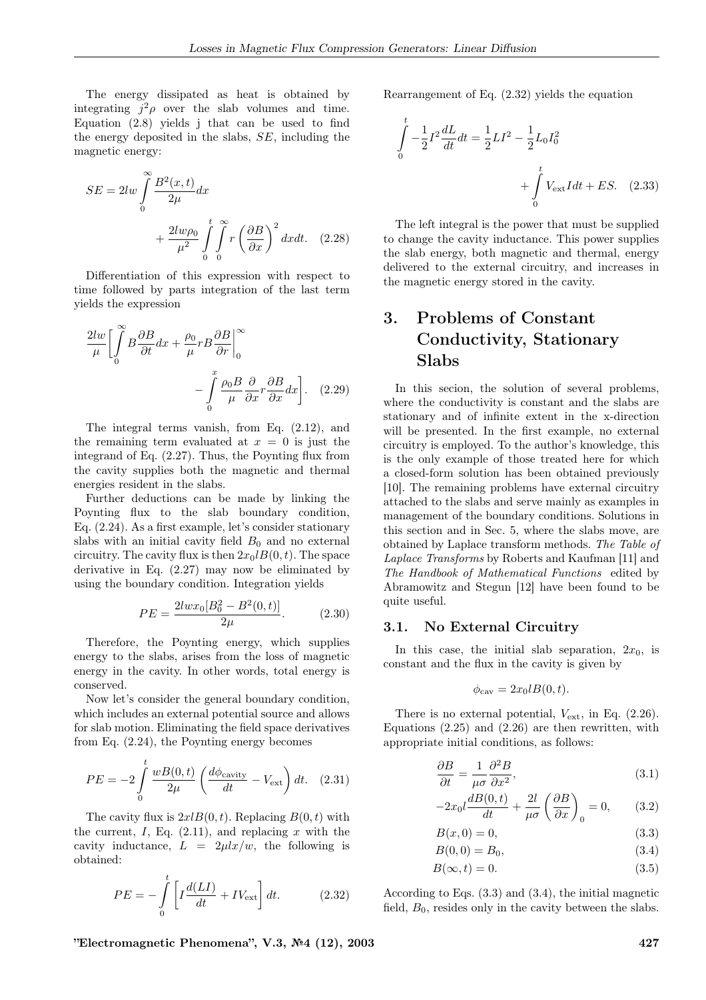The energy dissipated as heat is obtained by integrating  $j^2 \rho$  over the slab volumes and time. Equation (2.8) yields j that can be used to find the energy deposited in the slabs, SE, including the magnetic energy:

$$
SE = 2lw \int_{0}^{\infty} \frac{B^2(x,t)}{2\mu} dx + \frac{2lw\rho_0}{\mu^2} \int_{0}^{t} \int_{0}^{\infty} r \left(\frac{\partial B}{\partial x}\right)^2 dxdt.
$$
 (2.28)

Differentiation of this expression with respect to time followed by parts integration of the last term yields the expression

$$
\frac{2lw}{\mu} \left[ \int_{0}^{\infty} B \frac{\partial B}{\partial t} dx + \frac{\rho_0}{\mu} r B \frac{\partial B}{\partial r} \right]_{0}^{\infty}
$$

$$
- \int_{0}^{x} \frac{\rho_0 B}{\mu} \frac{\partial}{\partial x} r \frac{\partial B}{\partial x} dx \right]. \quad (2.29)
$$

The integral terms vanish, from Eq. (2.12), and the remaining term evaluated at  $x = 0$  is just the integrand of Eq. (2.27). Thus, the Poynting flux from the cavity supplies both the magnetic and thermal energies resident in the slabs.

Further deductions can be made by linking the Poynting flux to the slab boundary condition, Eq. (2.24). As a first example, let's consider stationary slabs with an initial cavity field  $B_0$  and no external circuitry. The cavity flux is then  $2x_0IB(0, t)$ . The space derivative in Eq. (2.27) may now be eliminated by using the boundary condition. Integration yields

$$
PE = \frac{2lw x_0[B_0^2 - B^2(0, t)]}{2\mu}.
$$
 (2.30)

Therefore, the Poynting energy, which supplies energy to the slabs, arises from the loss of magnetic energy in the cavity. In other words, total energy is conserved.

Now let's consider the general boundary condition, which includes an external potential source and allows for slab motion. Eliminating the field space derivatives from Eq. (2.24), the Poynting energy becomes

$$
PE = -2\int_{0}^{t} \frac{wB(0,t)}{2\mu} \left(\frac{d\phi_{\text{cavity}}}{dt} - V_{\text{ext}}\right) dt. \quad (2.31)
$$

The cavity flux is  $2xlB(0, t)$ . Replacing  $B(0, t)$  with the current, I, Eq.  $(2.11)$ , and replacing x with the cavity inductance,  $L = 2\mu l x/w$ , the following is obtained:

$$
PE = -\int_{0}^{t} \left[ I \frac{d(LI)}{dt} + IV_{\text{ext}} \right] dt.
$$
 (2.32)

Rearrangement of Eq. (2.32) yields the equation

$$
\int_{0}^{t} -\frac{1}{2}I^{2}\frac{dL}{dt}dt = \frac{1}{2}LI^{2} - \frac{1}{2}L_{0}I_{0}^{2} + \int_{0}^{t} V_{\text{ext}}Idt + ES. \quad (2.33)
$$

The left integral is the power that must be supplied to change the cavity inductance. This power supplies the slab energy, both magnetic and thermal, energy delivered to the external circuitry, and increases in the magnetic energy stored in the cavity.

# 3. Problems of Constant Conductivity, Stationary Slabs

In this secion, the solution of several problems, where the conductivity is constant and the slabs are stationary and of infinite extent in the x-direction will be presented. In the first example, no external circuitry is employed. To the author's knowledge, this is the only example of those treated here for which a closed-form solution has been obtained previously [10]. The remaining problems have external circuitry attached to the slabs and serve mainly as examples in management of the boundary conditions. Solutions in this section and in Sec. 5, where the slabs move, are obtained by Laplace transform methods. The Table of Laplace Transforms by Roberts and Kaufman [11] and The Handbook of Mathematical Functions edited by Abramowitz and Stegun [12] have been found to be quite useful.

#### 3.1. No External Circuitry

In this case, the initial slab separation,  $2x_0$ , is constant and the flux in the cavity is given by

$$
\phi_{\text{cav}} = 2x_0 l B(0, t).
$$

There is no external potential,  $V_{\text{ext}}$ , in Eq. (2.26). Equations  $(2.25)$  and  $(2.26)$  are then rewritten, with appropriate initial conditions, as follows:

$$
\frac{\partial B}{\partial t} = \frac{1}{\mu \sigma} \frac{\partial^2 B}{\partial x^2},\tag{3.1}
$$

$$
-2x_0 l \frac{dB(0,t)}{dt} + \frac{2l}{\mu\sigma} \left(\frac{\partial B}{\partial x}\right)_0 = 0, \qquad (3.2)
$$

$$
B(x,0) = 0,\t\t(3.3)
$$

$$
B(0,0) = B_0,\t\t(3.4)
$$

$$
B(\infty, t) = 0. \tag{3.5}
$$

According to Eqs. (3.3) and (3.4), the initial magnetic field,  $B_0$ , resides only in the cavity between the slabs.

 $"Electromagnetic Phenomena", V.3, N<sup>6</sup>4 (12), 2003$  427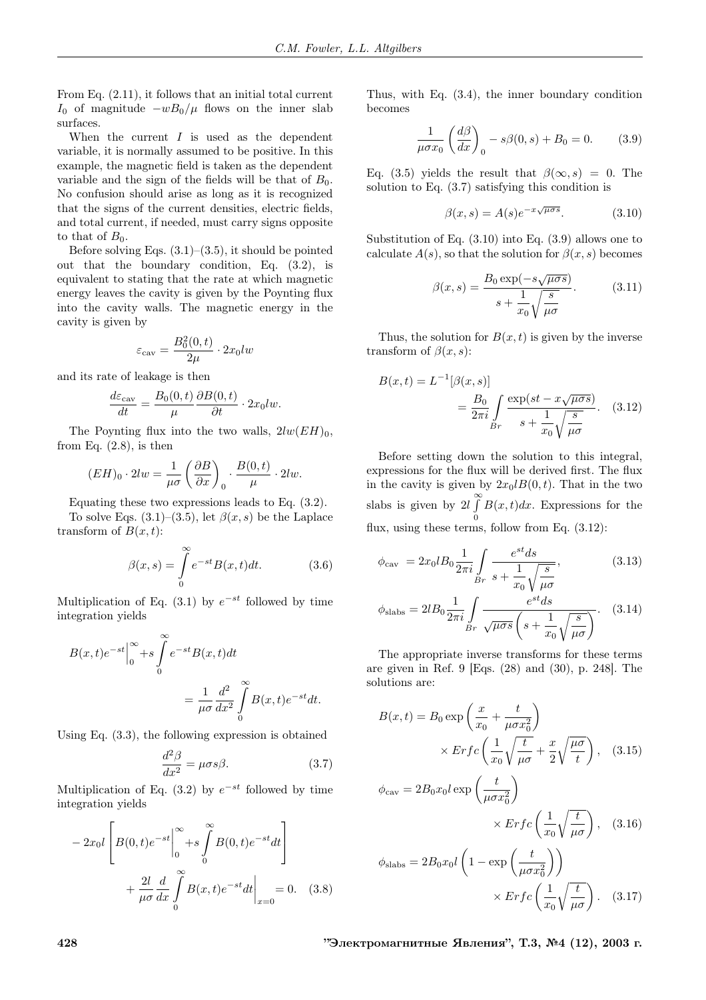From Eq. (2.11), it follows that an initial total current I<sub>0</sub> of magnitude  $-wB_0/\mu$  flows on the inner slab surfaces.

When the current  $I$  is used as the dependent variable, it is normally assumed to be positive. In this example, the magnetic field is taken as the dependent variable and the sign of the fields will be that of  $B_0$ . No confusion should arise as long as it is recognized that the signs of the current densities, electric fields, and total current, if needed, must carry signs opposite to that of  $B_0$ .

Before solving Eqs.  $(3.1)$ – $(3.5)$ , it should be pointed out that the boundary condition, Eq. (3.2), is equivalent to stating that the rate at which magnetic energy leaves the cavity is given by the Poynting flux into the cavity walls. The magnetic energy in the cavity is given by

$$
\varepsilon_{\text{cav}} = \frac{B_0^2(0, t)}{2\mu} \cdot 2x_0 lw
$$

and its rate of leakage is then

$$
\frac{d\varepsilon_{\text{cav}}}{dt} = \frac{B_0(0,t)}{\mu} \frac{\partial B(0,t)}{\partial t} \cdot 2x_0 dw.
$$

The Poynting flux into the two walls,  $2lw(EH)_0$ , from Eq.  $(2.8)$ , is then

$$
(EH)_0 \cdot 2lw = \frac{1}{\mu\sigma} \left(\frac{\partial B}{\partial x}\right)_0 \cdot \frac{B(0,t)}{\mu} \cdot 2lw.
$$

Equating these two expressions leads to Eq. (3.2).

To solve Eqs.  $(3.1)$ – $(3.5)$ , let  $\beta(x, s)$  be the Laplace transform of  $B(x, t)$ :

$$
\beta(x,s) = \int_{0}^{\infty} e^{-st} B(x,t) dt.
$$
 (3.6)

Multiplication of Eq.  $(3.1)$  by  $e^{-st}$  followed by time integration yields

$$
B(x,t)e^{-st}\Big|_0^{\infty} + s \int_0^{\infty} e^{-st}B(x,t)dt
$$
  
= 
$$
\frac{1}{\mu\sigma} \frac{d^2}{dx^2} \int_0^{\infty} B(x,t)e^{-st}dt.
$$

Using Eq. (3.3), the following expression is obtained

$$
\frac{d^2\beta}{dx^2} = \mu \sigma s \beta.
$$
 (3.7)

Multiplication of Eq. (3.2) by  $e^{-st}$  followed by time integration yields

$$
-2x_0l\left[B(0,t)e^{-st}\Big|_0^\infty + s\int_0^\infty B(0,t)e^{-st}dt\right] + \frac{2l}{\mu\sigma}\frac{d}{dx}\int_0^\infty B(x,t)e^{-st}dt\Big|_{x=0} = 0.
$$
 (3.8)

Thus, with Eq. (3.4), the inner boundary condition becomes

$$
\frac{1}{\mu \sigma x_0} \left( \frac{d\beta}{dx} \right)_0 - s\beta(0, s) + B_0 = 0. \tag{3.9}
$$

Eq. (3.5) yields the result that  $\beta(\infty, s) = 0$ . The solution to Eq. (3.7) satisfying this condition is

$$
\beta(x,s) = A(s)e^{-x\sqrt{\mu\sigma s}}.\tag{3.10}
$$

Substitution of Eq. (3.10) into Eq. (3.9) allows one to calculate  $A(s)$ , so that the solution for  $\beta(x, s)$  becomes

$$
\beta(x,s) = \frac{B_0 \exp(-s\sqrt{\mu \sigma s})}{s + \frac{1}{x_0} \sqrt{\frac{s}{\mu \sigma}}}.
$$
\n(3.11)

Thus, the solution for  $B(x, t)$  is given by the inverse transform of  $\beta(x, s)$ :

$$
B(x,t) = L^{-1}[\beta(x,s)]
$$
  
=  $\frac{B_0}{2\pi i} \int\limits_{Br} \frac{\exp(st - x\sqrt{\mu\sigma s})}{s + \frac{1}{x_0}\sqrt{\frac{s}{\mu\sigma}}}$ . (3.12)

Before setting down the solution to this integral, expressions for the flux will be derived first. The flux in the cavity is given by  $2x_0lB(0, t)$ . That in the two slabs is given by  $2l \int_{0}^{\infty}$ 0  $B(x, t)dx$ . Expressions for the flux, using these terms, follow from Eq. (3.12):

$$
\phi_{\text{cav}} = 2x_0 l B_0 \frac{1}{2\pi i} \int_{Br} \frac{e^{st} ds}{s + \frac{1}{x_0} \sqrt{\frac{s}{\mu \sigma}}},\tag{3.13}
$$

$$
\phi_{\text{slabs}} = 2lB_0 \frac{1}{2\pi i} \int_{Br} \frac{e^{st} ds}{\sqrt{\mu \sigma s} \left(s + \frac{1}{x_0} \sqrt{\frac{s}{\mu \sigma}}\right)}.
$$
 (3.14)

The appropriate inverse transforms for these terms are given in Ref. 9 [Eqs. (28) and (30), p. 248]. The solutions are:

$$
B(x,t) = B_0 \exp\left(\frac{x}{x_0} + \frac{t}{\mu \sigma x_0^2}\right)
$$

$$
\times Erfc\left(\frac{1}{x_0}\sqrt{\frac{t}{\mu \sigma}} + \frac{x}{2}\sqrt{\frac{\mu \sigma}{t}}\right), \quad (3.15)
$$

$$
\phi_{\text{cav}} = 2B_0 x_0 l \exp\left(\frac{t}{\mu \sigma x_0^2}\right)
$$

$$
\times Erfc\left(\frac{1}{x_0}\sqrt{\frac{t}{\mu \sigma}}\right), \quad (3.16)
$$

$$
\phi_{\text{slabs}} = 2B_0 x_0 l \left( 1 - \exp\left(\frac{t}{\mu \sigma x_0^2}\right) \right)
$$

$$
\times Erfc\left(\frac{1}{x_0}\sqrt{\frac{t}{\mu \sigma}}\right). \quad (3.17)
$$

428 "Электромагнитные Явления", Т.3, №4 (12), 2003 г.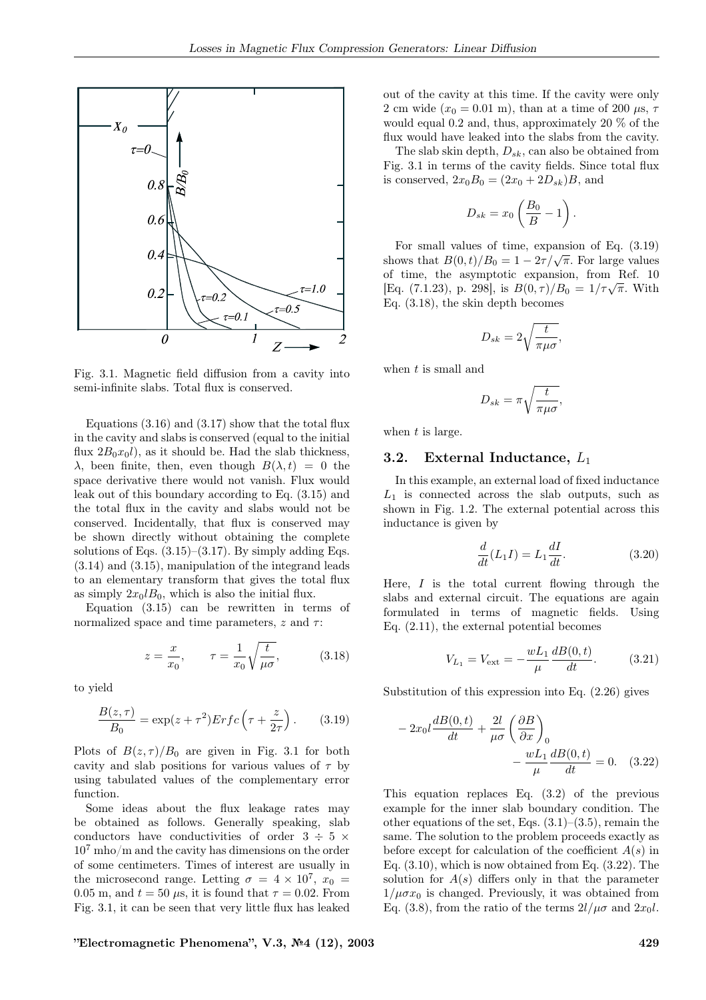

Fig. 3.1. Magnetic field diffusion from a cavity into semi-infinite slabs. Total flux is conserved.

Equations  $(3.16)$  and  $(3.17)$  show that the total flux in the cavity and slabs is conserved (equal to the initial flux  $2B_0x_0l$ , as it should be. Had the slab thickness,  $\lambda$ , been finite, then, even though  $B(\lambda, t) = 0$  the space derivative there would not vanish. Flux would leak out of this boundary according to Eq. (3.15) and the total flux in the cavity and slabs would not be conserved. Incidentally, that flux is conserved may be shown directly without obtaining the complete solutions of Eqs.  $(3.15)$ – $(3.17)$ . By simply adding Eqs. (3.14) and (3.15), manipulation of the integrand leads to an elementary transform that gives the total flux as simply  $2x_0lB_0$ , which is also the initial flux.

Equation (3.15) can be rewritten in terms of normalized space and time parameters,  $z$  and  $\tau$ :

$$
z = \frac{x}{x_0}, \qquad \tau = \frac{1}{x_0} \sqrt{\frac{t}{\mu \sigma}}, \tag{3.18}
$$

to yield

$$
\frac{B(z,\tau)}{B_0} = \exp(z+\tau^2)Erfc\left(\tau + \frac{z}{2\tau}\right). \tag{3.19}
$$

Plots of  $B(z, \tau)/B_0$  are given in Fig. 3.1 for both cavity and slab positions for various values of  $\tau$  by using tabulated values of the complementary error function.

Some ideas about the flux leakage rates may be obtained as follows. Generally speaking, slab conductors have conductivities of order  $3 \div 5 \times$  $10<sup>7</sup>$  mho/m and the cavity has dimensions on the order of some centimeters. Times of interest are usually in the microsecond range. Letting  $\sigma = 4 \times 10^7$ ,  $x_0 =$ 0.05 m, and  $t = 50 \mu s$ , it is found that  $\tau = 0.02$ . From Fig. 3.1, it can be seen that very little flux has leaked out of the cavity at this time. If the cavity were only 2 cm wide  $(x_0 = 0.01 \text{ m})$ , than at a time of 200  $\mu$ s,  $\tau$ would equal 0.2 and, thus, approximately 20 % of the flux would have leaked into the slabs from the cavity.

The slab skin depth,  $D_{sk}$ , can also be obtained from Fig. 3.1 in terms of the cavity fields. Since total flux is conserved,  $2x_0B_0 = (2x_0 + 2D_{sk})B$ , and

$$
D_{sk} = x_0 \left(\frac{B_0}{B} - 1\right).
$$

For small values of time, expansion of Eq. (3.19) shows that  $B(0,t)/B_0 = 1 - 2\tau/\sqrt{\pi}$ . For large values of time, the asymptotic expansion, from Ref. 10 [Eq. (7.1.23), p. 298], is  $B(0, \tau)/B_0 = 1/\tau \sqrt{\pi}$ . With Eq. (3.18), the skin depth becomes

$$
D_{sk} = 2\sqrt{\frac{t}{\pi\mu\sigma}},
$$

when  $t$  is small and

$$
D_{sk} = \pi \sqrt{\frac{t}{\pi \mu \sigma}},
$$

when  $t$  is large.

### 3.2. External Inductance,  $L_1$

In this example, an external load of fixed inductance  $L_1$  is connected across the slab outputs, such as shown in Fig. 1.2. The external potential across this inductance is given by

$$
\frac{d}{dt}(L_1I) = L_1 \frac{dI}{dt}.
$$
\n(3.20)

Here,  $I$  is the total current flowing through the slabs and external circuit. The equations are again formulated in terms of magnetic fields. Using Eq. (2.11), the external potential becomes

$$
V_{L_1} = V_{\text{ext}} = -\frac{wL_1}{\mu} \frac{dB(0, t)}{dt}.
$$
 (3.21)

Substitution of this expression into Eq. (2.26) gives

$$
-2x_0 l \frac{dB(0,t)}{dt} + \frac{2l}{\mu \sigma} \left(\frac{\partial B}{\partial x}\right)_0
$$

$$
-\frac{wL_1}{\mu} \frac{dB(0,t)}{dt} = 0. \quad (3.22)
$$

This equation replaces Eq. (3.2) of the previous example for the inner slab boundary condition. The other equations of the set, Eqs.  $(3.1)$ – $(3.5)$ , remain the same. The solution to the problem proceeds exactly as before except for calculation of the coefficient  $A(s)$  in Eq. (3.10), which is now obtained from Eq. (3.22). The solution for  $A(s)$  differs only in that the parameter  $1/\mu \sigma x_0$  is changed. Previously, it was obtained from Eq. (3.8), from the ratio of the terms  $2l/\mu\sigma$  and  $2x_0l$ .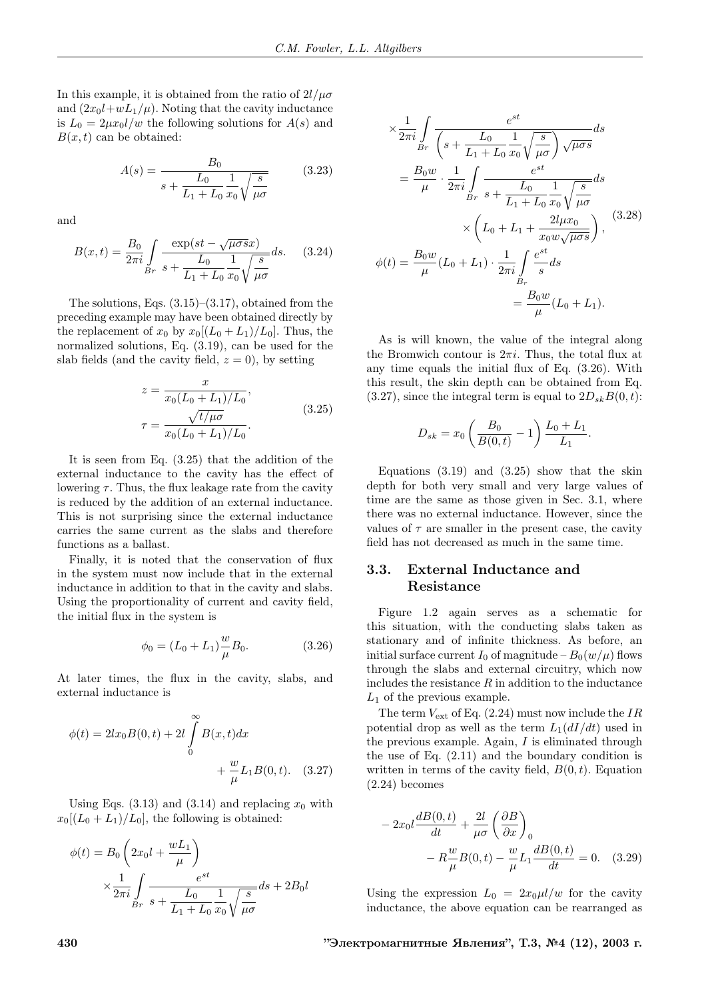In this example, it is obtained from the ratio of  $2l/\mu\sigma$ and  $(2x_0l+wL_1/\mu)$ . Noting that the cavity inductance is  $L_0 = 2\mu x_0 l/w$  the following solutions for  $A(s)$  and  $B(x, t)$  can be obtained:

$$
A(s) = \frac{B_0}{s + \frac{L_0}{L_1 + L_0} \frac{1}{x_0} \sqrt{\frac{s}{\mu \sigma}}} \tag{3.23}
$$

and

$$
B(x,t) = \frac{B_0}{2\pi i} \int\limits_{Br} \frac{\exp(st - \sqrt{\mu \sigma s}x)}{s + \frac{L_0}{L_1 + L_0} \frac{1}{x_0} \sqrt{\frac{s}{\mu \sigma}}} ds. \quad (3.24)
$$

The solutions, Eqs.  $(3.15)$ – $(3.17)$ , obtained from the preceding example may have been obtained directly by the replacement of  $x_0$  by  $x_0[(L_0 + L_1)/L_0]$ . Thus, the normalized solutions, Eq. (3.19), can be used for the slab fields (and the cavity field,  $z = 0$ ), by setting

$$
z = \frac{x}{x_0(L_0 + L_1)/L_0},
$$
  
\n
$$
\tau = \frac{\sqrt{t/\mu\sigma}}{x_0(L_0 + L_1)/L_0}.
$$
\n(3.25)

It is seen from Eq. (3.25) that the addition of the external inductance to the cavity has the effect of lowering  $\tau$ . Thus, the flux leakage rate from the cavity is reduced by the addition of an external inductance. This is not surprising since the external inductance carries the same current as the slabs and therefore functions as a ballast.

Finally, it is noted that the conservation of flux in the system must now include that in the external inductance in addition to that in the cavity and slabs. Using the proportionality of current and cavity field, the initial flux in the system is

$$
\phi_0 = (L_0 + L_1) \frac{w}{\mu} B_0.
$$
 (3.26)

At later times, the flux in the cavity, slabs, and external inductance is

$$
\phi(t) = 2lx_0B(0, t) + 2l \int_{0}^{\infty} B(x, t)dx + \frac{w}{\mu}L_1B(0, t). \quad (3.27)
$$

Using Eqs. (3.13) and (3.14) and replacing  $x_0$  with  $x_0[(L_0 + L_1)/L_0]$ , the following is obtained:

$$
\phi(t) = B_0 \left( 2x_0 l + \frac{wL_1}{\mu} \right)
$$
  
 
$$
\times \frac{1}{2\pi i} \int_{Br} \frac{e^{st}}{s + \frac{L_0}{L_1 + L_0} \frac{1}{x_0} \sqrt{\frac{s}{\mu \sigma}}} ds + 2B_0 l
$$

$$
\times \frac{1}{2\pi i} \int_{Br} \frac{e^{st}}{\left(s + \frac{L_0}{L_1 + L_0} \frac{1}{x_0} \sqrt{\frac{s}{\mu \sigma}}\right) \sqrt{\mu \sigma s}} ds
$$
  
\n
$$
= \frac{B_0 w}{\mu} \cdot \frac{1}{2\pi i} \int_{Br} \frac{e^{st}}{s + \frac{L_0}{L_1 + L_0} \frac{1}{x_0} \sqrt{\frac{s}{\mu \sigma}}} ds
$$
  
\n
$$
\times \left(L_0 + L_1 + \frac{2l\mu x_0}{x_0 w \sqrt{\mu \sigma s}}\right),
$$
  
\n
$$
\phi(t) = \frac{B_0 w}{\mu} (L_0 + L_1) \cdot \frac{1}{2\pi i} \int_{B_r} \frac{e^{st}}{s} ds
$$
  
\n
$$
= \frac{B_0 w}{\mu} (L_0 + L_1).
$$

As is will known, the value of the integral along the Bromwich contour is  $2\pi i$ . Thus, the total flux at any time equals the initial flux of Eq. (3.26). With this result, the skin depth can be obtained from Eq.  $(3.27)$ , since the integral term is equal to  $2D_{sk}B(0, t)$ :

$$
D_{sk} = x_0 \left(\frac{B_0}{B(0,t)} - 1\right) \frac{L_0 + L_1}{L_1}
$$

.

Equations  $(3.19)$  and  $(3.25)$  show that the skin depth for both very small and very large values of time are the same as those given in Sec. 3.1, where there was no external inductance. However, since the values of  $\tau$  are smaller in the present case, the cavity field has not decreased as much in the same time.

# 3.3. External Inductance and Resistance

Figure 1.2 again serves as a schematic for this situation, with the conducting slabs taken as stationary and of infinite thickness. As before, an initial surface current  $I_0$  of magnitude –  $B_0(w/\mu)$  flows through the slabs and external circuitry, which now includes the resistance  $R$  in addition to the inductance  $L_1$  of the previous example.

The term  $V_{\text{ext}}$  of Eq. (2.24) must now include the IR potential drop as well as the term  $L_1(dI/dt)$  used in the previous example. Again, I is eliminated through the use of Eq. (2.11) and the boundary condition is written in terms of the cavity field,  $B(0, t)$ . Equation (2.24) becomes

$$
-2x_0 l \frac{dB(0,t)}{dt} + \frac{2l}{\mu\sigma} \left(\frac{\partial B}{\partial x}\right)_0
$$

$$
-R\frac{w}{\mu}B(0,t) - \frac{w}{\mu}L_1 \frac{dB(0,t)}{dt} = 0. \quad (3.29)
$$

Using the expression  $L_0 = 2x_0\mu l/w$  for the cavity inductance, the above equation can be rearranged as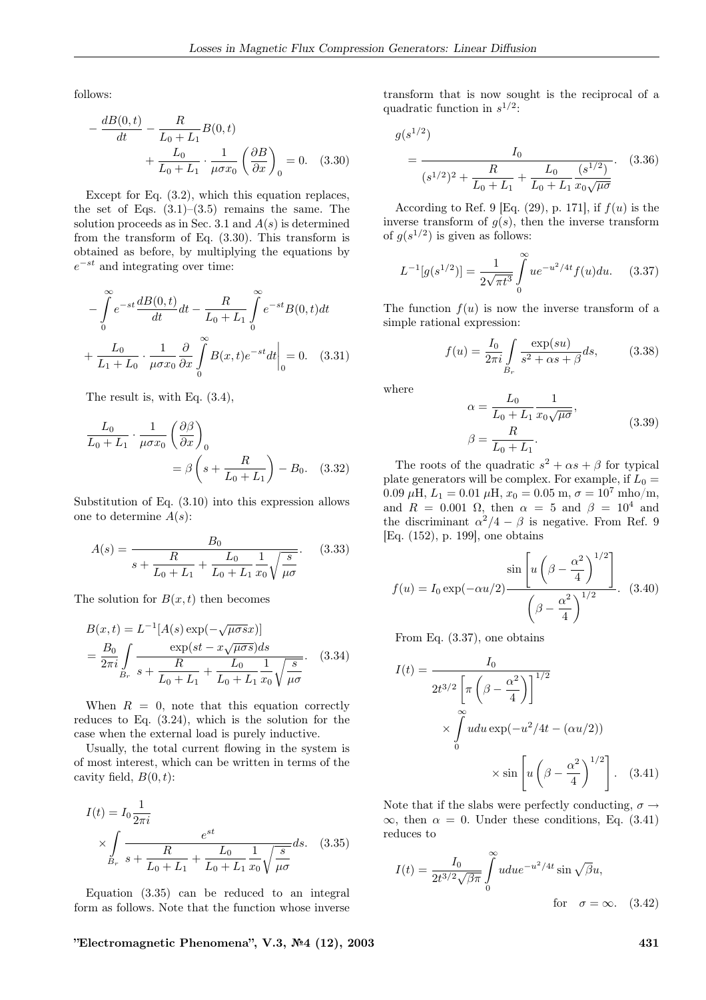follows:

$$
-\frac{dB(0,t)}{dt} - \frac{R}{L_0 + L_1}B(0,t)
$$

$$
+\frac{L_0}{L_0 + L_1} \cdot \frac{1}{\mu \sigma x_0} \left(\frac{\partial B}{\partial x}\right)_0 = 0. \quad (3.30)
$$

Except for Eq. (3.2), which this equation replaces, the set of Eqs.  $(3.1)$ – $(3.5)$  remains the same. The solution proceeds as in Sec. 3.1 and  $A(s)$  is determined from the transform of Eq. (3.30). This transform is obtained as before, by multiplying the equations by  $e^{-st}$  and integrating over time:

$$
-\int_{0}^{\infty} e^{-st} \frac{dB(0, t)}{dt} dt - \frac{R}{L_0 + L_1} \int_{0}^{\infty} e^{-st} B(0, t) dt
$$

$$
+\frac{L_0}{L_1 + L_0} \cdot \frac{1}{\mu \sigma x_0} \frac{\partial}{\partial x} \int_{0}^{\infty} B(x, t) e^{-st} dt \Big|_{0} = 0. \quad (3.31)
$$

The result is, with Eq. (3.4),

$$
\frac{L_0}{L_0 + L_1} \cdot \frac{1}{\mu \sigma x_0} \left(\frac{\partial \beta}{\partial x}\right)_0
$$
  
=  $\beta \left(s + \frac{R}{L_0 + L_1}\right) - B_0.$  (3.32)

Substitution of Eq. (3.10) into this expression allows one to determine  $A(s)$ :

$$
A(s) = \frac{B_0}{s + \frac{R}{L_0 + L_1} + \frac{L_0}{L_0 + L_1} \frac{1}{x_0} \sqrt{\frac{s}{\mu \sigma}}}.
$$
 (3.33)

The solution for  $B(x, t)$  then becomes

$$
B(x,t) = L^{-1}[A(s) \exp(-\sqrt{\mu \sigma s}x)]
$$
  
=  $\frac{B_0}{2\pi i} \int_{B_r} \frac{\exp(st - x\sqrt{\mu \sigma s})ds}{s + \frac{R}{L_0 + L_1} + \frac{L_0}{L_0 + L_1} \frac{1}{x_0} \sqrt{\frac{s}{\mu \sigma}}}$ . (3.34)

When  $R = 0$ , note that this equation correctly reduces to Eq. (3.24), which is the solution for the case when the external load is purely inductive.

Usually, the total current flowing in the system is of most interest, which can be written in terms of the cavity field,  $B(0, t)$ :

$$
I(t) = I_0 \frac{1}{2\pi i}
$$
  
\$\times \int\_{B\_r} \frac{1}{s + \frac{R}{L\_0 + L\_1} + \frac{L\_0}{L\_0 + L\_1} \frac{1}{x\_0} \sqrt{\frac{s}{\mu \sigma}}} ds. \quad (3.35)\$

Equation (3.35) can be reduced to an integral form as follows. Note that the function whose inverse

 $"Electromagnetic Phenomena", V.3, N<sup>2</sup>4 (12), 2003$  431

transform that is now sought is the reciprocal of a quadratic function in  $s^{1/2}$ :

$$
g(s^{1/2})
$$
  
= 
$$
\frac{I_0}{(s^{1/2})^2 + \frac{R}{L_0 + L_1} + \frac{L_0}{L_0 + L_1} \frac{(s^{1/2})}{x_0 \sqrt{\mu \sigma}}}.
$$
 (3.36)

According to Ref. 9 [Eq.  $(29)$ , p. 171], if  $f(u)$  is the inverse transform of  $q(s)$ , then the inverse transform of  $g(s^{1/2})$  is given as follows:

$$
L^{-1}[g(s^{1/2})] = \frac{1}{2\sqrt{\pi t^3}} \int_{0}^{\infty} u e^{-u^2/4t} f(u) du.
$$
 (3.37)

The function  $f(u)$  is now the inverse transform of a simple rational expression:

$$
f(u) = \frac{I_0}{2\pi i} \int_{B_r} \frac{\exp(su)}{s^2 + \alpha s + \beta} ds,
$$
 (3.38)

where

$$
\alpha = \frac{L_0}{L_0 + L_1} \frac{1}{x_0 \sqrt{\mu \sigma}},
$$
  

$$
\beta = \frac{R}{L_0 + L_1}.
$$
 (3.39)

The roots of the quadratic  $s^2 + \alpha s + \beta$  for typical plate generators will be complex. For example, if  $L_0 =$ 0.09  $\mu$ H,  $L_1 = 0.01 \mu$ H,  $x_0 = 0.05 \text{ m}, \sigma = 10^7 \text{ mho/m}$ , and  $R = 0.001 \Omega$ , then  $\alpha = 5$  and  $\beta = 10^4$  and the discriminant  $\alpha^2/4 - \beta$  is negative. From Ref. 9 [Eq. (152), p. 199], one obtains

$$
f(u) = I_0 \exp(-\alpha u/2) \frac{\sin\left[u\left(\beta - \frac{\alpha^2}{4}\right)^{1/2}\right]}{\left(\beta - \frac{\alpha^2}{4}\right)^{1/2}}.
$$
 (3.40)

From Eq. (3.37), one obtains

$$
I(t) = \frac{I_0}{2t^{3/2} \left[ \pi \left( \beta - \frac{\alpha^2}{4} \right) \right]^{1/2}}
$$
  
\$\times \int\_0^\infty u du \exp(-u^2/4t - (\alpha u/2))\$  
\$\times \sin \left[ u \left( \beta - \frac{\alpha^2}{4} \right)^{1/2} \right].\$ (3.41)

Note that if the slabs were perfectly conducting,  $\sigma \rightarrow$  $\infty$ , then  $\alpha = 0$ . Under these conditions, Eq. (3.41) reduces to

$$
I(t) = \frac{I_0}{2t^{3/2}\sqrt{\beta\pi}} \int_0^\infty u du e^{-u^2/4t} \sin\sqrt{\beta}u,
$$
  
for  $\sigma = \infty$ . (3.42)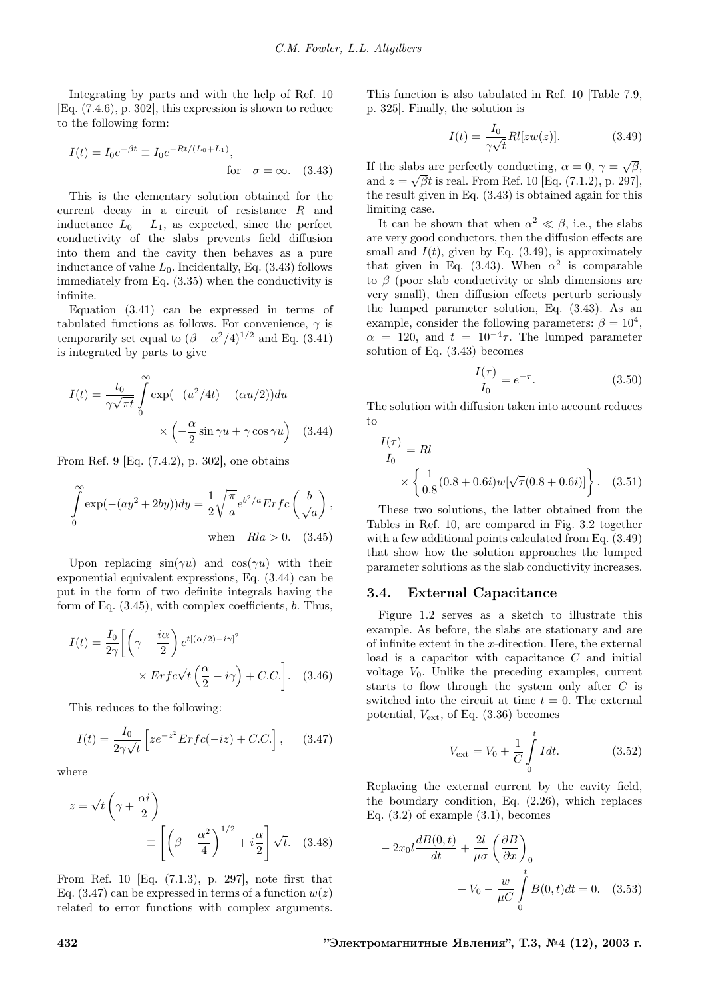Integrating by parts and with the help of Ref. 10 [Eq. (7.4.6), p. 302], this expression is shown to reduce to the following form:

$$
I(t) = I_0 e^{-\beta t} \equiv I_0 e^{-Rt/(L_0 + L_1)},
$$
  
for  $\sigma = \infty.$  (3.43)

This is the elementary solution obtained for the current decay in a circuit of resistance R and inductance  $L_0 + L_1$ , as expected, since the perfect conductivity of the slabs prevents field diffusion into them and the cavity then behaves as a pure inductance of value  $L_0$ . Incidentally, Eq. (3.43) follows immediately from Eq. (3.35) when the conductivity is infinite.

Equation (3.41) can be expressed in terms of tabulated functions as follows. For convenience,  $\gamma$  is temporarily set equal to  $(\beta - \alpha^2/4)^{1/2}$  and Eq. (3.41) is integrated by parts to give

$$
I(t) = \frac{t_0}{\gamma \sqrt{\pi t}} \int_0^\infty \exp(-(u^2/4t) - (\alpha u/2)) du
$$

$$
\times \left( -\frac{\alpha}{2} \sin \gamma u + \gamma \cos \gamma u \right) \quad (3.44)
$$

From Ref. 9 [Eq. (7.4.2), p. 302], one obtains

$$
\int_{0}^{\infty} \exp(-(ay^2 + 2by))dy = \frac{1}{2}\sqrt{\frac{\pi}{a}}e^{b^2/a}Erfc\left(\frac{b}{\sqrt{a}}\right),\,
$$
  
when  $Rla > 0.$  (3.45)

Upon replacing  $sin(\gamma u)$  and  $cos(\gamma u)$  with their exponential equivalent expressions, Eq. (3.44) can be put in the form of two definite integrals having the form of Eq. (3.45), with complex coefficients, b. Thus,

$$
I(t) = \frac{I_0}{2\gamma} \left[ \left( \gamma + \frac{i\alpha}{2} \right) e^{t[(\alpha/2) - i\gamma]^2} \times Erfc\sqrt{t} \left( \frac{\alpha}{2} - i\gamma \right) + C.C. \right].
$$
 (3.46)

This reduces to the following:

$$
I(t) = \frac{I_0}{2\gamma\sqrt{t}} \left[ z e^{-z^2} Erfc(-iz) + C.C. \right], \quad (3.47)
$$

where

$$
z = \sqrt{t} \left(\gamma + \frac{\alpha i}{2}\right)
$$

$$
\equiv \left[\left(\beta - \frac{\alpha^2}{4}\right)^{1/2} + i\frac{\alpha}{2}\right] \sqrt{t}.\quad(3.48)
$$

From Ref. 10 [Eq. (7.1.3), p. 297], note first that Eq.  $(3.47)$  can be expressed in terms of a function  $w(z)$ related to error functions with complex arguments. This function is also tabulated in Ref. 10 [Table 7.9, p. 325]. Finally, the solution is

$$
I(t) = \frac{I_0}{\gamma \sqrt{t}} R l[zw(z)].
$$
\n(3.49)

If the slabs are perfectly conducting,  $\alpha = 0, \gamma = \sqrt{\beta},$ and  $z = \sqrt{\beta t}$  is real. From Ref. 10 [Eq. (7.1.2), p. 297], the result given in Eq. (3.43) is obtained again for this limiting case.

It can be shown that when  $\alpha^2 \ll \beta$ , i.e., the slabs are very good conductors, then the diffusion effects are small and  $I(t)$ , given by Eq. (3.49), is approximately that given in Eq. (3.43). When  $\alpha^2$  is comparable to  $\beta$  (poor slab conductivity or slab dimensions are very small), then diffusion effects perturb seriously the lumped parameter solution, Eq. (3.43). As an example, consider the following parameters:  $\beta = 10^4$ ,  $\alpha = 120$ , and  $t = 10^{-4}\tau$ . The lumped parameter solution of Eq. (3.43) becomes

$$
\frac{I(\tau)}{I_0} = e^{-\tau}.
$$
 (3.50)

The solution with diffusion taken into account reduces to

$$
\frac{I(\tau)}{I_0} = RI
$$
  
 
$$
\times \left\{ \frac{1}{0.8} (0.8 + 0.6i) w [\sqrt{\tau} (0.8 + 0.6i)] \right\}.
$$
 (3.51)

These two solutions, the latter obtained from the Tables in Ref. 10, are compared in Fig. 3.2 together with a few additional points calculated from Eq. (3.49) that show how the solution approaches the lumped parameter solutions as the slab conductivity increases.

#### 3.4. External Capacitance

Figure 1.2 serves as a sketch to illustrate this example. As before, the slabs are stationary and are of infinite extent in the  $x$ -direction. Here, the external load is a capacitor with capacitance  $C$  and initial voltage  $V_0$ . Unlike the preceding examples, current starts to flow through the system only after C is switched into the circuit at time  $t = 0$ . The external potential,  $V_{\text{ext}}$ , of Eq.  $(3.36)$  becomes

$$
V_{\text{ext}} = V_0 + \frac{1}{C} \int_{0}^{t} I dt.
$$
 (3.52)

Replacing the external current by the cavity field, the boundary condition, Eq. (2.26), which replaces Eq.  $(3.2)$  of example  $(3.1)$ , becomes

$$
-2x_0 l \frac{dB(0,t)}{dt} + \frac{2l}{\mu\sigma} \left(\frac{\partial B}{\partial x}\right)_0
$$

$$
+V_0 - \frac{w}{\mu C} \int_0^t B(0,t)dt = 0. \quad (3.53)
$$

432 "Электромагнитные Явления", Т.3, №4 (12), 2003 г.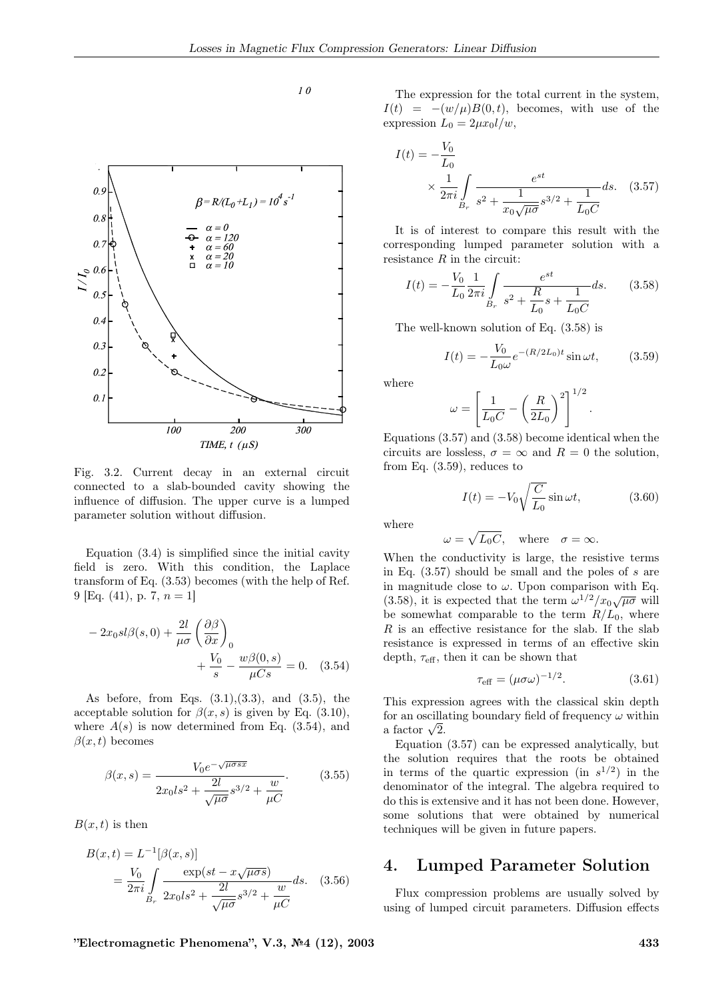$10$ 



Fig. 3.2. Current decay in an external circuit connected to a slab-bounded cavity showing the influence of diffusion. The upper curve is a lumped parameter solution without diffusion.

Equation (3.4) is simplified since the initial cavity field is zero. With this condition, the Laplace transform of Eq. (3.53) becomes (with the help of Ref. 9 [Eq. (41), p. 7,  $n = 1$ ]

$$
-2x_0s l\beta(s,0) + \frac{2l}{\mu\sigma} \left(\frac{\partial\beta}{\partial x}\right)_0
$$

$$
+ \frac{V_0}{s} - \frac{w\beta(0,s)}{\mu Cs} = 0. \quad (3.54)
$$

As before, from Eqs.  $(3.1), (3.3),$  and  $(3.5),$  the acceptable solution for  $\beta(x, s)$  is given by Eq. (3.10), where  $A(s)$  is now determined from Eq. (3.54), and  $\beta(x, t)$  becomes

$$
\beta(x,s) = \frac{V_0 e^{-\sqrt{\mu \sigma s x}}}{2x_0 l s^2 + \frac{2l}{\sqrt{\mu \sigma}} s^{3/2} + \frac{w}{\mu C}}.
$$
\n(3.55)

 $B(x, t)$  is then

$$
B(x,t) = L^{-1}[\beta(x,s)]
$$
  
=  $\frac{V_0}{2\pi i} \int_{B_r} \frac{\exp(st - x\sqrt{\mu\sigma s})}{2x_0 ds^2 + \frac{2l}{\sqrt{\mu\sigma}} s^{3/2} + \frac{w}{\mu C}} ds.$  (3.56)

The expression for the total current in the system,  $I(t) = -(w/\mu)B(0, t)$ , becomes, with use of the expression  $L_0 = 2\mu x_0 l/w$ ,

$$
I(t) = -\frac{V_0}{L_0}
$$
  
 
$$
\times \frac{1}{2\pi i} \int_{B_r} \frac{e^{st}}{s^2 + \frac{1}{x_0\sqrt{\mu\sigma}}s^{3/2} + \frac{1}{L_0C}} ds. \quad (3.57)
$$

It is of interest to compare this result with the corresponding lumped parameter solution with a resistance  $R$  in the circuit:

$$
I(t) = -\frac{V_0}{L_0} \frac{1}{2\pi i} \int_{B_r} \frac{e^{st}}{s^2 + \frac{R}{L_0} s + \frac{1}{L_0 C}} ds.
$$
 (3.58)

The well-known solution of Eq. (3.58) is

$$
I(t) = -\frac{V_0}{L_0 \omega} e^{-(R/2L_0)t} \sin \omega t, \qquad (3.59)
$$

where

$$
\omega = \left[\frac{1}{L_0C} - \left(\frac{R}{2L_0}\right)^2\right]^{1/2}.
$$

Equations (3.57) and (3.58) become identical when the circuits are lossless,  $\sigma = \infty$  and  $R = 0$  the solution. from Eq. (3.59), reduces to

$$
I(t) = -V_0 \sqrt{\frac{C}{L_0}} \sin \omega t, \qquad (3.60)
$$

where

 $\omega = \sqrt{L_0 C}$ , where  $\sigma = \infty$ .

When the conductivity is large, the resistive terms in Eq.  $(3.57)$  should be small and the poles of s are in magnitude close to  $\omega$ . Upon comparison with Eq. (3.58), it is expected that the term  $\omega^{1/2}/x_0\sqrt{\mu\sigma}$  will be somewhat comparable to the term  $R/L_0$ , where  $R$  is an effective resistance for the slab. If the slab resistance is expressed in terms of an effective skin depth,  $\tau_{\text{eff}}$ , then it can be shown that

$$
\tau_{\text{eff}} = (\mu \sigma \omega)^{-1/2}.
$$
 (3.61)

This expression agrees with the classical skin depth for an oscillating boundary field of frequency  $\omega$  within a factor  $\sqrt{2}$ .

Equation (3.57) can be expressed analytically, but the solution requires that the roots be obtained in terms of the quartic expression (in  $s^{1/2}$ ) in the denominator of the integral. The algebra required to do this is extensive and it has not been done. However, some solutions that were obtained by numerical techniques will be given in future papers.

# 4. Lumped Parameter Solution

Flux compression problems are usually solved by using of lumped circuit parameters. Diffusion effects

 $"Electromagnetic Phenomena", V.3, N<sup>6</sup>4 (12), 2003$  433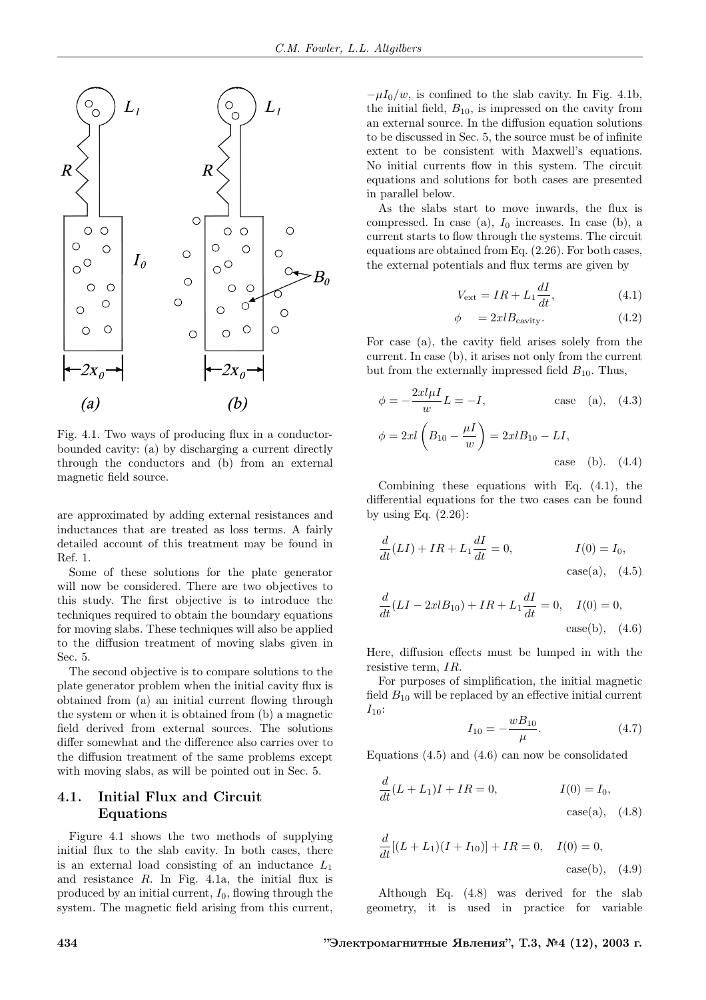

Fig. 4.1. Two ways of producing flux in a conductorbounded cavity: (a) by discharging a current directly through the conductors and (b) from an external magnetic field source.

are approximated by adding external resistances and inductances that are treated as loss terms. A fairly detailed account of this treatment may be found in Ref. 1.

Some of these solutions for the plate generator will now be considered. There are two objectives to this study. The first objective is to introduce the techniques required to obtain the boundary equations for moving slabs. These techniques will also be applied to the diffusion treatment of moving slabs given in Sec. 5.

The second objective is to compare solutions to the plate generator problem when the initial cavity flux is obtained from (a) an initial current flowing through the system or when it is obtained from (b) a magnetic field derived from external sources. The solutions differ somewhat and the difference also carries over to the diffusion treatment of the same problems except with moving slabs, as will be pointed out in Sec. 5.

### 4.1. Initial Flux and Circuit Equations

Figure 4.1 shows the two methods of supplying initial flux to the slab cavity. In both cases, there is an external load consisting of an inductance  $L_1$ and resistance R. In Fig. 4.1a, the initial flux is produced by an initial current,  $I_0$ , flowing through the system. The magnetic field arising from this current,

 $-\mu I_0/w$ , is confined to the slab cavity. In Fig. 4.1b, the initial field,  $B_{10}$ , is impressed on the cavity from an external source. In the diffusion equation solutions to be discussed in Sec. 5, the source must be of infinite extent to be consistent with Maxwell's equations. No initial currents flow in this system. The circuit equations and solutions for both cases are presented in parallel below.

As the slabs start to move inwards, the flux is compressed. In case (a),  $I_0$  increases. In case (b), a current starts to flow through the systems. The circuit equations are obtained from Eq. (2.26). For both cases, the external potentials and flux terms are given by

$$
V_{\text{ext}} = IR + L_1 \frac{dI}{dt},\tag{4.1}
$$

$$
\phi = 2xlB_{\text{cavity}}.\tag{4.2}
$$

For case (a), the cavity field arises solely from the current. In case (b), it arises not only from the current but from the externally impressed field  $B_{10}$ . Thus,

$$
\phi = -\frac{2xl\mu I}{w}L = -I, \text{ case (a), (4.3)}
$$

$$
\phi = 2xl \left(B_{10} - \frac{\mu I}{w}\right) = 2xlB_{10} - LI, \text{ case (b). (4.4)}
$$

Combining these equations with Eq. (4.1), the differential equations for the two cases can be found by using Eq.  $(2.26)$ :

$$
\frac{d}{dt}(LI) + IR + L_1 \frac{dI}{dt} = 0, \qquad I(0) = I_0,
$$
  
case(a), (4.5)

$$
\frac{d}{dt}(LI - 2xlB_{10}) + IR + L_1 \frac{dI}{dt} = 0, \quad I(0) = 0,
$$
  
case(b), (4.6)

Here, diffusion effects must be lumped in with the resistive term, IR.

For purposes of simplification, the initial magnetic field  $B_{10}$  will be replaced by an effective initial current  $I_{10}$ :

$$
I_{10} = -\frac{wB_{10}}{\mu}.\tag{4.7}
$$

Equations  $(4.5)$  and  $(4.6)$  can now be consolidated

$$
\frac{d}{dt}(L + L_1)I + IR = 0, \tI(0) = I_0,
$$
  
case(a), (4.8)

$$
\frac{d}{dt}[(L+L_1)(I+I_{10})] + IR = 0, \quad I(0) = 0,
$$
  
case(b), (4.9)

Although Eq. (4.8) was derived for the slab geometry, it is used in practice for variable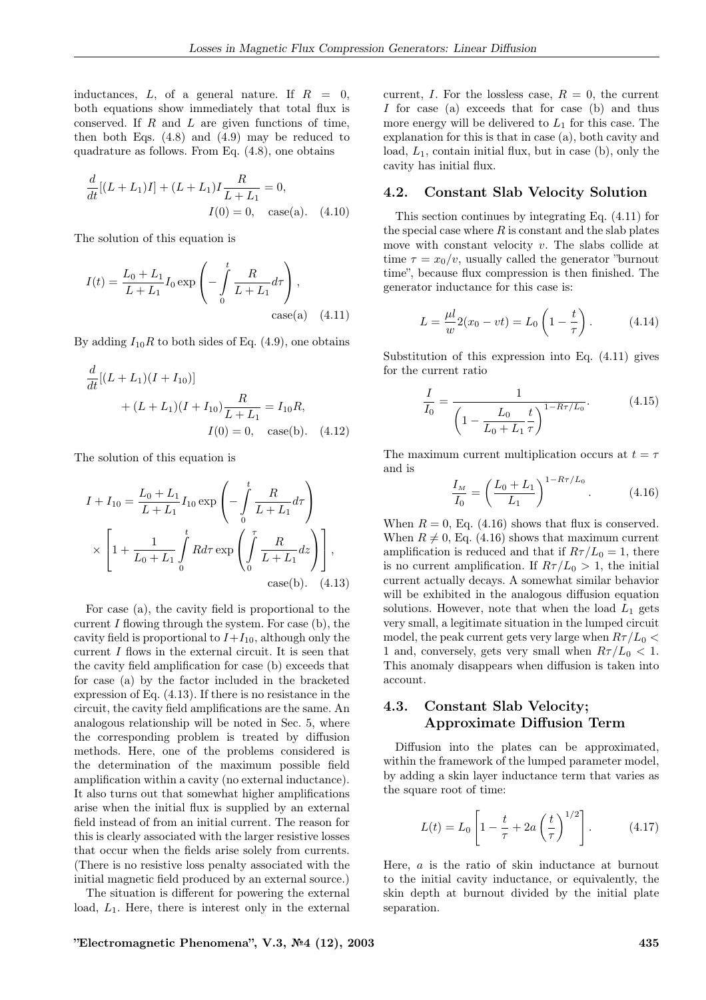inductances,  $L$ , of a general nature. If  $R = 0$ , both equations show immediately that total flux is conserved. If  $R$  and  $L$  are given functions of time, then both Eqs.  $(4.8)$  and  $(4.9)$  may be reduced to quadrature as follows. From Eq. (4.8), one obtains

$$
\frac{d}{dt}[(L+L_1)I] + (L+L_1)I\frac{R}{L+L_1} = 0,
$$
  

$$
I(0) = 0, \quad \text{case(a).} \quad (4.10)
$$

The solution of this equation is

$$
I(t) = \frac{L_0 + L_1}{L + L_1} I_0 \exp\left(-\int_0^t \frac{R}{L + L_1} d\tau\right),\
$$
  
case(a) (4.11)

By adding  $I_{10}R$  to both sides of Eq. (4.9), one obtains

$$
\frac{d}{dt}[(L+L_1)(I+I_{10})]
$$
  
+  $(L+L_1)(I+I_{10})\frac{R}{L+L_1} = I_{10}R,$   
 $I(0) = 0$ , case(b). (4.12)

The solution of this equation is

$$
I + I_{10} = \frac{L_0 + L_1}{L + L_1} I_{10} \exp\left(-\int_0^t \frac{R}{L + L_1} d\tau\right)
$$
  
 
$$
\times \left[1 + \frac{1}{L_0 + L_1} \int_0^t R d\tau \exp\left(\int_0^{\tau} \frac{R}{L + L_1} d\tau\right)\right],
$$
  
 
$$
\cose(b). \quad (4.13)
$$

For case (a), the cavity field is proportional to the current  $I$  flowing through the system. For case  $(b)$ , the cavity field is proportional to  $I+I_{10}$ , although only the current I flows in the external circuit. It is seen that the cavity field amplification for case (b) exceeds that for case (a) by the factor included in the bracketed expression of Eq. (4.13). If there is no resistance in the circuit, the cavity field amplifications are the same. An analogous relationship will be noted in Sec. 5, where the corresponding problem is treated by diffusion methods. Here, one of the problems considered is the determination of the maximum possible field amplification within a cavity (no external inductance). It also turns out that somewhat higher amplifications arise when the initial flux is supplied by an external field instead of from an initial current. The reason for this is clearly associated with the larger resistive losses that occur when the fields arise solely from currents. (There is no resistive loss penalty associated with the initial magnetic field produced by an external source.)

The situation is different for powering the external load,  $L_1$ . Here, there is interest only in the external current, I. For the lossless case,  $R = 0$ , the current I for case (a) exceeds that for case (b) and thus more energy will be delivered to  $L_1$  for this case. The explanation for this is that in case (a), both cavity and load,  $L_1$ , contain initial flux, but in case (b), only the cavity has initial flux.

#### 4.2. Constant Slab Velocity Solution

This section continues by integrating Eq. (4.11) for the special case where  $R$  is constant and the slab plates move with constant velocity  $v$ . The slabs collide at time  $\tau = x_0/v$ , usually called the generator "burnout" time", because flux compression is then finished. The generator inductance for this case is:

$$
L = \frac{\mu l}{w} 2(x_0 - vt) = L_0 \left( 1 - \frac{t}{\tau} \right).
$$
 (4.14)

Substitution of this expression into Eq. (4.11) gives for the current ratio

$$
\frac{I}{I_0} = \frac{1}{\left(1 - \frac{L_0}{L_0 + L_1} \frac{t}{\tau}\right)^{1 - R\tau/L_0}}.
$$
(4.15)

The maximum current multiplication occurs at  $t = \tau$ and is

$$
\frac{I_M}{I_0} = \left(\frac{L_0 + L_1}{L_1}\right)^{1 - R\tau/L_0}.\tag{4.16}
$$

When  $R = 0$ , Eq. (4.16) shows that flux is conserved. When  $R \neq 0$ , Eq. (4.16) shows that maximum current amplification is reduced and that if  $R\tau/L_0 = 1$ , there is no current amplification. If  $R\tau/L_0 > 1$ , the initial current actually decays. A somewhat similar behavior will be exhibited in the analogous diffusion equation solutions. However, note that when the load  $L_1$  gets very small, a legitimate situation in the lumped circuit model, the peak current gets very large when  $R\tau/L_0$  < 1 and, conversely, gets very small when  $R\tau/L_0 < 1$ . This anomaly disappears when diffusion is taken into account.

### 4.3. Constant Slab Velocity; Approximate Diffusion Term

Diffusion into the plates can be approximated, within the framework of the lumped parameter model, by adding a skin layer inductance term that varies as the square root of time:

$$
L(t) = L_0 \left[ 1 - \frac{t}{\tau} + 2a \left( \frac{t}{\tau} \right)^{1/2} \right].
$$
 (4.17)

Here, a is the ratio of skin inductance at burnout to the initial cavity inductance, or equivalently, the skin depth at burnout divided by the initial plate separation.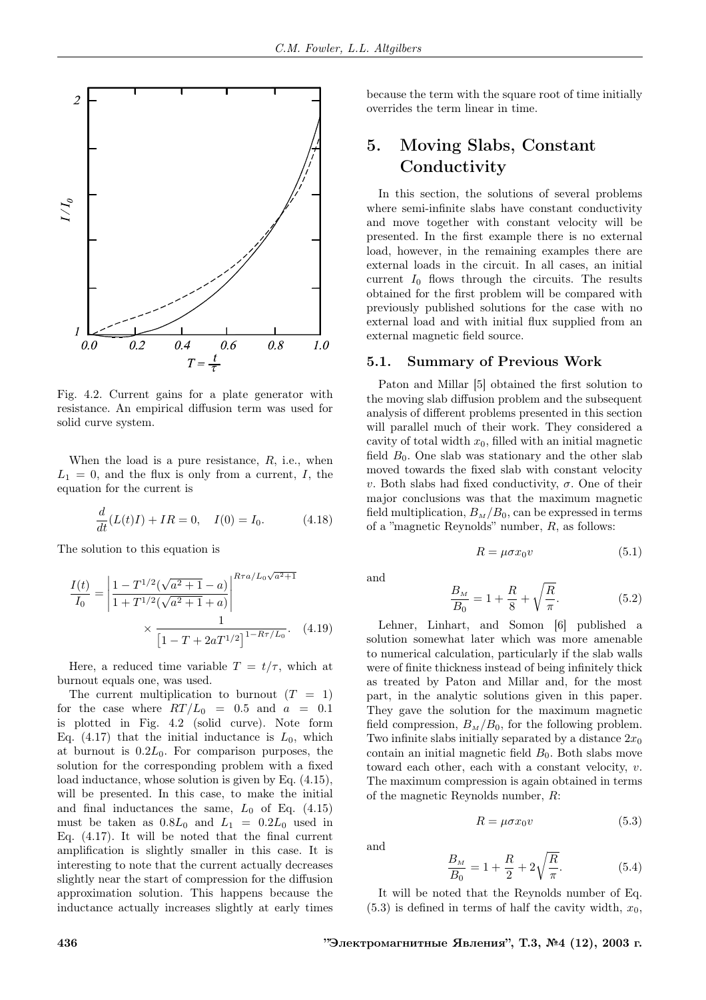

Fig. 4.2. Current gains for a plate generator with resistance. An empirical diffusion term was used for solid curve system.

When the load is a pure resistance,  $R$ , i.e., when  $L_1 = 0$ , and the flux is only from a current, I, the equation for the current is

$$
\frac{d}{dt}(L(t)I) + IR = 0, \quad I(0) = I_0.
$$
\n(4.18)

The solution to this equation is

$$
\frac{I(t)}{I_0} = \left| \frac{1 - T^{1/2}(\sqrt{a^2 + 1} - a)}{1 + T^{1/2}(\sqrt{a^2 + 1} + a)} \right|^{R\tau a/L_0\sqrt{a^2 + 1}}
$$

$$
\times \frac{1}{\left[1 - T + 2aT^{1/2}\right]^{1 - R\tau/L_0}}.
$$
(4.19)

Here, a reduced time variable  $T = t/\tau$ , which at burnout equals one, was used.

The current multiplication to burnout  $(T = 1)$ for the case where  $RT/L_0 = 0.5$  and  $a = 0.1$ is plotted in Fig. 4.2 (solid curve). Note form Eq. (4.17) that the initial inductance is  $L_0$ , which at burnout is  $0.2L_0$ . For comparison purposes, the solution for the corresponding problem with a fixed load inductance, whose solution is given by Eq. (4.15), will be presented. In this case, to make the initial and final inductances the same,  $L_0$  of Eq. (4.15) must be taken as  $0.8L_0$  and  $L_1 = 0.2L_0$  used in Eq. (4.17). It will be noted that the final current amplification is slightly smaller in this case. It is interesting to note that the current actually decreases slightly near the start of compression for the diffusion approximation solution. This happens because the inductance actually increases slightly at early times because the term with the square root of time initially overrides the term linear in time.

# 5. Moving Slabs, Constant Conductivity

In this section, the solutions of several problems where semi-infinite slabs have constant conductivity and move together with constant velocity will be presented. In the first example there is no external load, however, in the remaining examples there are external loads in the circuit. In all cases, an initial current  $I_0$  flows through the circuits. The results obtained for the first problem will be compared with previously published solutions for the case with no external load and with initial flux supplied from an external magnetic field source.

### 5.1. Summary of Previous Work

Paton and Millar [5] obtained the first solution to the moving slab diffusion problem and the subsequent analysis of different problems presented in this section will parallel much of their work. They considered a cavity of total width  $x_0$ , filled with an initial magnetic field  $B_0$ . One slab was stationary and the other slab moved towards the fixed slab with constant velocity v. Both slabs had fixed conductivity, σ. One of their major conclusions was that the maximum magnetic field multiplication,  $B_M/B_0$ , can be expressed in terms of a "magnetic Reynolds" number, R, as follows:

$$
R = \mu \sigma x_0 v \tag{5.1}
$$

and

$$
\frac{B_M}{B_0} = 1 + \frac{R}{8} + \sqrt{\frac{R}{\pi}}.
$$
\n(5.2)

Lehner, Linhart, and Somon [6] published a solution somewhat later which was more amenable to numerical calculation, particularly if the slab walls were of finite thickness instead of being infinitely thick as treated by Paton and Millar and, for the most part, in the analytic solutions given in this paper. They gave the solution for the maximum magnetic field compression,  $B_M/B_0$ , for the following problem. Two infinite slabs initially separated by a distance  $2x_0$ contain an initial magnetic field  $B_0$ . Both slabs move toward each other, each with a constant velocity, v. The maximum compression is again obtained in terms of the magnetic Reynolds number, R:

$$
R = \mu \sigma x_0 v \tag{5.3}
$$

and

$$
\frac{B_M}{B_0} = 1 + \frac{R}{2} + 2\sqrt{\frac{R}{\pi}}.\tag{5.4}
$$

It will be noted that the Reynolds number of Eq.  $(5.3)$  is defined in terms of half the cavity width,  $x_0$ ,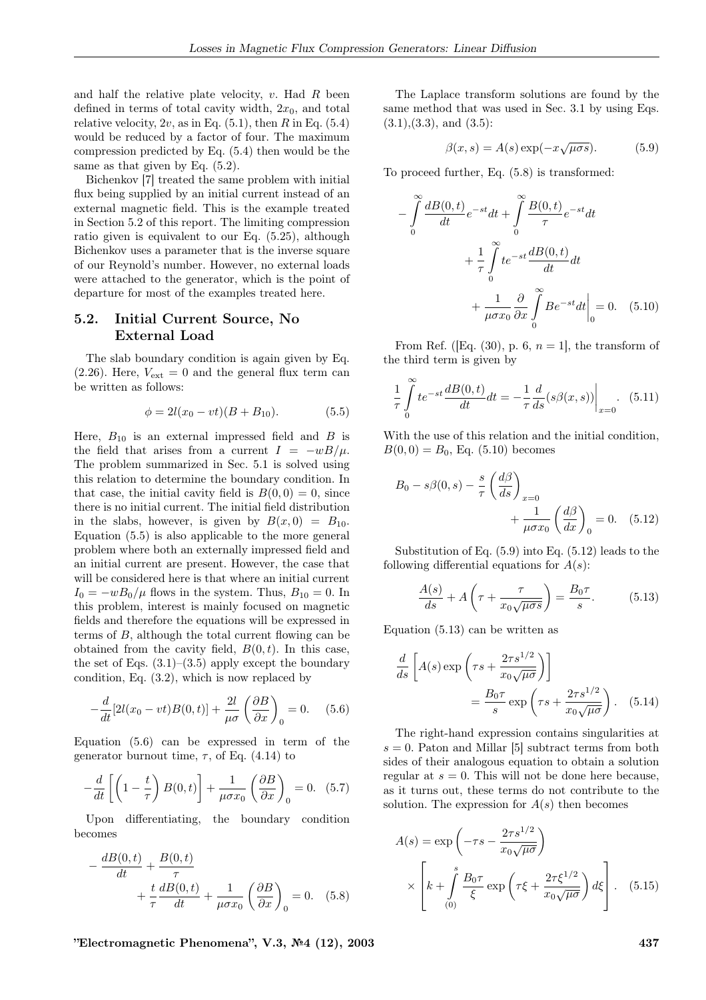and half the relative plate velocity,  $v$ . Had  $R$  been defined in terms of total cavity width,  $2x_0$ , and total relative velocity,  $2v$ , as in Eq. (5.1), then R in Eq. (5.4) would be reduced by a factor of four. The maximum compression predicted by Eq. (5.4) then would be the same as that given by Eq.  $(5.2)$ .

Bichenkov [7] treated the same problem with initial flux being supplied by an initial current instead of an external magnetic field. This is the example treated in Section 5.2 of this report. The limiting compression ratio given is equivalent to our Eq. (5.25), although Bichenkov uses a parameter that is the inverse square of our Reynold's number. However, no external loads were attached to the generator, which is the point of departure for most of the examples treated here.

### 5.2. Initial Current Source, No External Load

The slab boundary condition is again given by Eq.  $(2.26)$ . Here,  $V_{ext} = 0$  and the general flux term can be written as follows:

$$
\phi = 2l(x_0 - vt)(B + B_{10}).\tag{5.5}
$$

Here,  $B_{10}$  is an external impressed field and B is the field that arises from a current  $I = -wB/\mu$ . The problem summarized in Sec. 5.1 is solved using this relation to determine the boundary condition. In that case, the initial cavity field is  $B(0,0) = 0$ , since there is no initial current. The initial field distribution in the slabs, however, is given by  $B(x, 0) = B_{10}$ . Equation (5.5) is also applicable to the more general problem where both an externally impressed field and an initial current are present. However, the case that will be considered here is that where an initial current  $I_0 = -wB_0/\mu$  flows in the system. Thus,  $B_{10} = 0$ . In this problem, interest is mainly focused on magnetic fields and therefore the equations will be expressed in terms of B, although the total current flowing can be obtained from the cavity field,  $B(0, t)$ . In this case, the set of Eqs.  $(3.1)$ – $(3.5)$  apply except the boundary condition, Eq. (3.2), which is now replaced by

$$
-\frac{d}{dt}[2l(x_0 - vt)B(0, t)] + \frac{2l}{\mu\sigma} \left(\frac{\partial B}{\partial x}\right)_0 = 0.
$$
 (5.6)

Equation (5.6) can be expressed in term of the generator burnout time,  $\tau$ , of Eq. (4.14) to

$$
-\frac{d}{dt}\left[\left(1-\frac{t}{\tau}\right)B(0,t)\right]+\frac{1}{\mu\sigma x_0}\left(\frac{\partial B}{\partial x}\right)_0=0.
$$
 (5.7)

Upon differentiating, the boundary condition becomes

$$
-\frac{dB(0,t)}{dt} + \frac{B(0,t)}{\tau} + \frac{t}{\tau} \frac{dB(0,t)}{dt} + \frac{1}{\mu \sigma x_0} \left(\frac{\partial B}{\partial x}\right)_0 = 0.
$$
 (5.8)

"Electromagnetic Phenomena", V.3, №4 (12), 2003 437

The Laplace transform solutions are found by the same method that was used in Sec. 3.1 by using Eqs.  $(3.1), (3.3),$  and  $(3.5)$ :

$$
\beta(x,s) = A(s) \exp(-x \sqrt{\mu \sigma s}). \tag{5.9}
$$

To proceed further, Eq. (5.8) is transformed:

$$
-\int_{0}^{\infty} \frac{dB(0,t)}{dt} e^{-st} dt + \int_{0}^{\infty} \frac{B(0,t)}{\tau} e^{-st} dt
$$

$$
+\frac{1}{\tau} \int_{0}^{\infty} t e^{-st} \frac{dB(0,t)}{dt} dt
$$

$$
+\frac{1}{\mu \sigma x_{0}} \frac{\partial}{\partial x} \int_{0}^{\infty} B e^{-st} dt \Big|_{0} = 0. \quad (5.10)
$$

From Ref. ([Eq. (30), p. 6,  $n = 1$ ], the transform of the third term is given by

$$
\frac{1}{\tau} \int_{0}^{\infty} t e^{-st} \frac{dB(0, t)}{dt} dt = -\frac{1}{\tau} \frac{d}{ds} (s\beta(x, s)) \Big|_{x=0}.
$$
 (5.11)

With the use of this relation and the initial condition,  $B(0, 0) = B_0$ , Eq. (5.10) becomes

$$
B_0 - s\beta(0, s) - \frac{s}{\tau} \left(\frac{d\beta}{ds}\right)_{x=0} + \frac{1}{\mu \sigma x_0} \left(\frac{d\beta}{dx}\right)_0 = 0. \quad (5.12)
$$

Substitution of Eq. (5.9) into Eq. (5.12) leads to the following differential equations for  $A(s)$ :

$$
\frac{A(s)}{ds} + A\left(\tau + \frac{\tau}{x_0\sqrt{\mu\sigma s}}\right) = \frac{B_0\tau}{s}.
$$
 (5.13)

Equation (5.13) can be written as

$$
\frac{d}{ds} \left[ A(s) \exp\left(\tau s + \frac{2\tau s^{1/2}}{x_0 \sqrt{\mu \sigma}}\right) \right]
$$

$$
= \frac{B_0 \tau}{s} \exp\left(\tau s + \frac{2\tau s^{1/2}}{x_0 \sqrt{\mu \sigma}}\right). \quad (5.14)
$$

The right-hand expression contains singularities at  $s = 0$ . Paton and Millar [5] subtract terms from both sides of their analogous equation to obtain a solution regular at  $s = 0$ . This will not be done here because, as it turns out, these terms do not contribute to the solution. The expression for  $A(s)$  then becomes

$$
A(s) = \exp\left(-\tau s - \frac{2\tau s^{1/2}}{x_0\sqrt{\mu\sigma}}\right)
$$

$$
\times \left[k + \int_{(0)}^s \frac{B_0\tau}{\xi} \exp\left(\tau \xi + \frac{2\tau \xi^{1/2}}{x_0\sqrt{\mu\sigma}}\right) d\xi\right]. \quad (5.15)
$$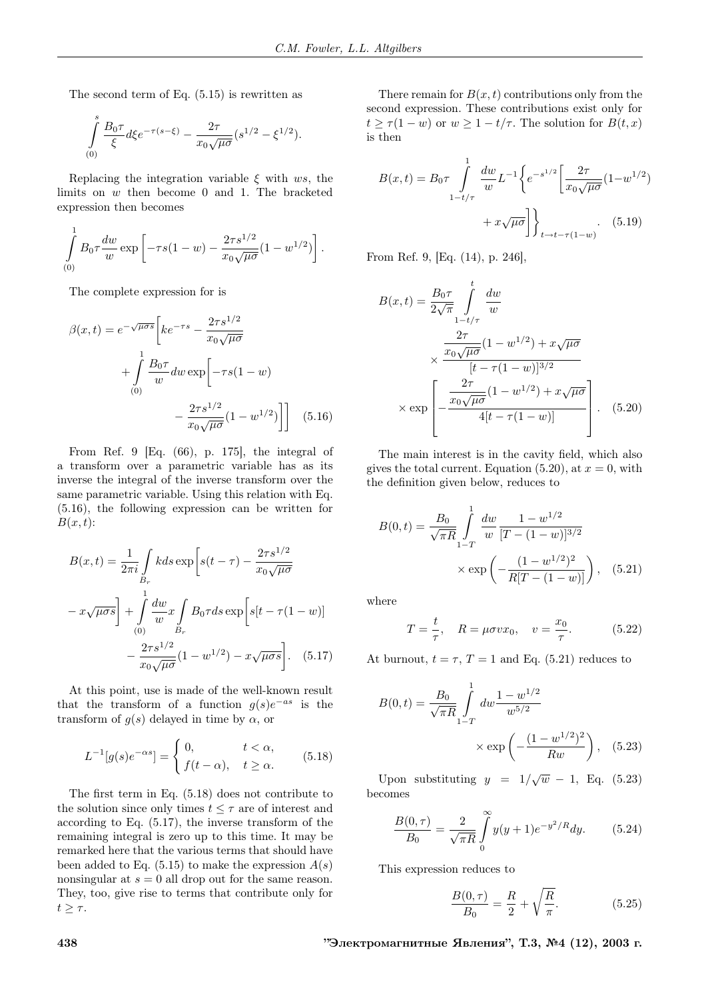The second term of Eq. (5.15) is rewritten as

$$
\int_{(0)}^{s} \frac{B_0 \tau}{\xi} d\xi e^{-\tau(s-\xi)} - \frac{2\tau}{x_0 \sqrt{\mu \sigma}} (s^{1/2} - \xi^{1/2}).
$$

Replacing the integration variable  $\xi$  with ws, the limits on w then become 0 and 1. The bracketed expression then becomes

$$
\int_{(0)}^{1} B_0 \tau \frac{dw}{w} \exp \left[ -\tau s (1-w) - \frac{2\tau s^{1/2}}{x_0 \sqrt{\mu \sigma}} (1-w^{1/2}) \right].
$$

The complete expression for is

$$
\beta(x,t) = e^{-\sqrt{\mu \sigma s}} \left[ k e^{-\tau s} - \frac{2\tau s^{1/2}}{x_0 \sqrt{\mu \sigma}} + \int_{(0)}^1 \frac{B_0 \tau}{w} dw \exp \left[ -\tau s (1 - w) - \frac{2\tau s^{1/2}}{x_0 \sqrt{\mu \sigma}} (1 - w^{1/2}) \right] \right]
$$
(5.16)

From Ref. 9 [Eq. (66), p. 175], the integral of a transform over a parametric variable has as its inverse the integral of the inverse transform over the same parametric variable. Using this relation with Eq. (5.16), the following expression can be written for  $B(x,t)$ :

$$
B(x,t) = \frac{1}{2\pi i} \int_{B_r} k ds \exp\left[s(t-\tau) - \frac{2\tau s^{1/2}}{x_0 \sqrt{\mu \sigma}}\right]
$$

$$
- x \sqrt{\mu \sigma s} + \int_{(0)}^1 \frac{dw}{w} x \int_{B_r} B_0 \tau ds \exp\left[s(t-\tau(1-w))\right]
$$

$$
- \frac{2\tau s^{1/2}}{x_0 \sqrt{\mu \sigma}} (1 - w^{1/2}) - x \sqrt{\mu \sigma s} \Big]. \quad (5.17)
$$

At this point, use is made of the well-known result that the transform of a function  $g(s)e^{-as}$  is the transform of  $g(s)$  delayed in time by  $\alpha$ , or

$$
L^{-1}[g(s)e^{-\alpha s}] = \begin{cases} 0, & t < \alpha, \\ f(t-\alpha), & t \ge \alpha. \end{cases}
$$
 (5.18)

The first term in Eq. (5.18) does not contribute to the solution since only times  $t\leq \tau$  are of interest and according to Eq. (5.17), the inverse transform of the remaining integral is zero up to this time. It may be remarked here that the various terms that should have been added to Eq.  $(5.15)$  to make the expression  $A(s)$ nonsingular at  $s = 0$  all drop out for the same reason. They, too, give rise to terms that contribute only for  $t \geq \tau$ .

There remain for  $B(x, t)$  contributions only from the second expression. These contributions exist only for  $t \geq \tau(1-w)$  or  $w \geq 1 - t/\tau$ . The solution for  $B(t, x)$ is then

$$
B(x,t) = B_0 \tau \int_{1-t/\tau}^1 \frac{dw}{w} L^{-1} \left\{ e^{-s^{1/2}} \left[ \frac{2\tau}{x_0 \sqrt{\mu \sigma}} (1 - w^{1/2}) + x \sqrt{\mu \sigma} \right] \right\}_{t \to t - \tau (1-w)}.
$$
 (5.19)

From Ref. 9, [Eq. (14), p. 246],

$$
B(x,t) = \frac{B_0 \tau}{2\sqrt{\pi}} \int_{1-t/\tau}^t \frac{dw}{w}
$$

$$
\times \frac{\frac{2\tau}{x_0 \sqrt{\mu \sigma}} (1 - w^{1/2}) + x \sqrt{\mu \sigma}}{[t - \tau (1 - w)]^{3/2}}
$$

$$
\times \exp\left[-\frac{\frac{2\tau}{x_0 \sqrt{\mu \sigma}} (1 - w^{1/2}) + x \sqrt{\mu \sigma}}{4[t - \tau (1 - w)]}\right]. \quad (5.20)
$$

The main interest is in the cavity field, which also gives the total current. Equation (5.20), at  $x = 0$ , with the definition given below, reduces to

$$
B(0,t) = \frac{B_0}{\sqrt{\pi R}} \int_{1-T}^{1} \frac{dw}{w} \frac{1 - w^{1/2}}{[T - (1 - w)]^{3/2}} \times \exp\left(-\frac{(1 - w^{1/2})^2}{R[T - (1 - w)]}\right), \quad (5.21)
$$

where

$$
T = \frac{t}{\tau}
$$
,  $R = \mu \sigma v x_0$ ,  $v = \frac{x_0}{\tau}$ . (5.22)

At burnout,  $t = \tau$ ,  $T = 1$  and Eq. (5.21) reduces to

$$
B(0,t) = \frac{B_0}{\sqrt{\pi R}} \int_{1-T}^{1} dw \frac{1 - w^{1/2}}{w^{5/2}}
$$

$$
\times \exp\left(-\frac{(1 - w^{1/2})^2}{Rw}\right), \quad (5.23)
$$

Upon substituting  $y = 1/\sqrt{w} - 1$ , Eq. (5.23) becomes

$$
\frac{B(0,\tau)}{B_0} = \frac{2}{\sqrt{\pi R}} \int_{0}^{\infty} y(y+1)e^{-y^2/R} dy.
$$
 (5.24)

This expression reduces to

$$
\frac{B(0,\tau)}{B_0} = \frac{R}{2} + \sqrt{\frac{R}{\pi}}.
$$
\n(5.25)

438 "Электромагнитные Явления", Т.3, №4 (12), 2003 г.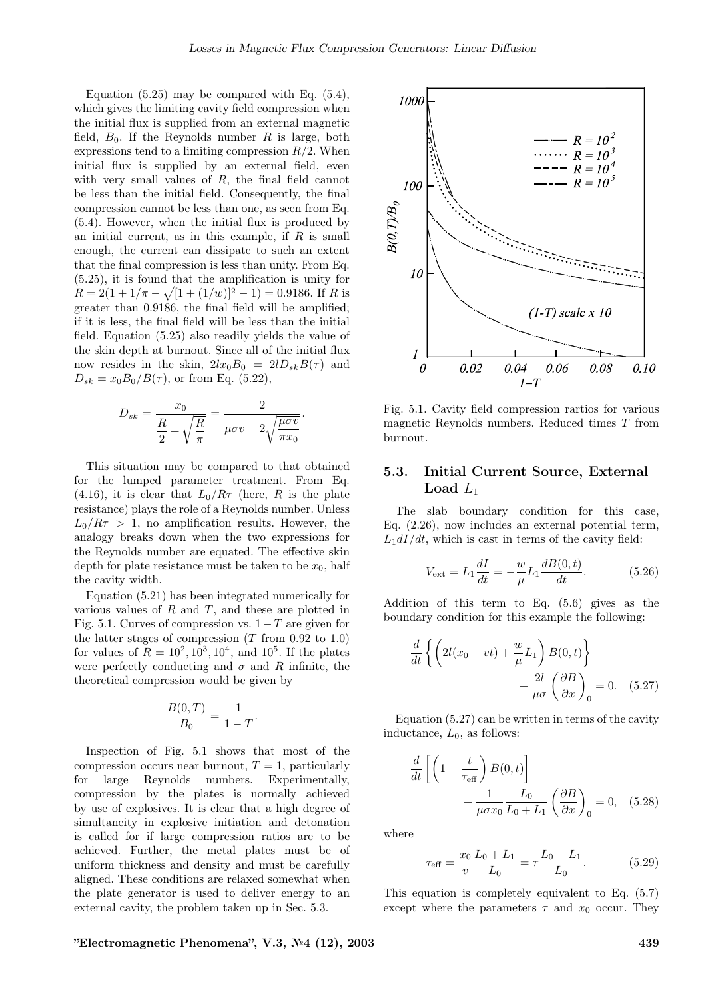Equation (5.25) may be compared with Eq. (5.4), which gives the limiting cavity field compression when the initial flux is supplied from an external magnetic field,  $B_0$ . If the Reynolds number R is large, both expressions tend to a limiting compression  $R/2$ . When initial flux is supplied by an external field, even with very small values of  $R$ , the final field cannot be less than the initial field. Consequently, the final compression cannot be less than one, as seen from Eq. (5.4). However, when the initial flux is produced by an initial current, as in this example, if  $R$  is small enough, the current can dissipate to such an extent that the final compression is less than unity. From Eq. (5.25), it is found that the amplification is unity for  $R = 2(1 + 1/\pi - \sqrt{[1 + (1/w)]^2 - 1}) = 0.9186$ . If R is greater than 0.9186, the final field will be amplified; if it is less, the final field will be less than the initial field. Equation (5.25) also readily yields the value of the skin depth at burnout. Since all of the initial flux now resides in the skin,  $2lx_0B_0 = 2lD_{sk}B(\tau)$  and  $D_{sk} = x_0 B_0 / B(\tau)$ , or from Eq. (5.22),

$$
D_{sk} = \frac{x_0}{\frac{R}{2} + \sqrt{\frac{R}{\pi}}} = \frac{2}{\mu \sigma v + 2\sqrt{\frac{\mu \sigma v}{\pi x_0}}}
$$

.

This situation may be compared to that obtained for the lumped parameter treatment. From Eq. (4.16), it is clear that  $L_0/R\tau$  (here, R is the plate resistance) plays the role of a Reynolds number. Unless  $L_0/R\tau > 1$ , no amplification results. However, the analogy breaks down when the two expressions for the Reynolds number are equated. The effective skin depth for plate resistance must be taken to be  $x_0$ , half the cavity width.

Equation (5.21) has been integrated numerically for various values of  $R$  and  $T$ , and these are plotted in Fig. 5.1. Curves of compression vs.  $1-T$  are given for the latter stages of compression  $(T \text{ from } 0.92 \text{ to } 1.0)$ for values of  $R = 10^2, 10^3, 10^4, \text{ and } 10^5$ . If the plates were perfectly conducting and  $\sigma$  and R infinite, the theoretical compression would be given by

$$
\frac{B(0,T)}{B_0} = \frac{1}{1-T}.
$$

Inspection of Fig. 5.1 shows that most of the compression occurs near burnout,  $T = 1$ , particularly for large Reynolds numbers. Experimentally, compression by the plates is normally achieved by use of explosives. It is clear that a high degree of simultaneity in explosive initiation and detonation is called for if large compression ratios are to be achieved. Further, the metal plates must be of uniform thickness and density and must be carefully aligned. These conditions are relaxed somewhat when the plate generator is used to deliver energy to an external cavity, the problem taken up in Sec. 5.3.



Fig. 5.1. Cavity field compression rartios for various magnetic Reynolds numbers. Reduced times T from burnout.

### 5.3. Initial Current Source, External Load  $L_1$

The slab boundary condition for this case, Eq. (2.26), now includes an external potential term,  $L_1dI/dt$ , which is cast in terms of the cavity field:

$$
V_{\text{ext}} = L_1 \frac{dI}{dt} = -\frac{w}{\mu} L_1 \frac{dB(0, t)}{dt}.
$$
 (5.26)

Addition of this term to Eq. (5.6) gives as the boundary condition for this example the following:

$$
-\frac{d}{dt}\left\{\left(2l(x_0 - vt) + \frac{w}{\mu}L_1\right)B(0, t)\right\} + \frac{2l}{\mu\sigma}\left(\frac{\partial B}{\partial x}\right)_0 = 0.
$$
 (5.27)

Equation (5.27) can be written in terms of the cavity inductance,  $L_0$ , as follows:

$$
-\frac{d}{dt}\left[\left(1-\frac{t}{\tau_{\text{eff}}}\right)B(0,t)\right] + \frac{1}{\mu\sigma x_0}\frac{L_0}{L_0+L_1}\left(\frac{\partial B}{\partial x}\right)_0 = 0, \quad (5.28)
$$

where

$$
\tau_{\text{eff}} = \frac{x_0}{v} \frac{L_0 + L_1}{L_0} = \tau \frac{L_0 + L_1}{L_0}.
$$
 (5.29)

This equation is completely equivalent to Eq. (5.7) except where the parameters  $\tau$  and  $x_0$  occur. They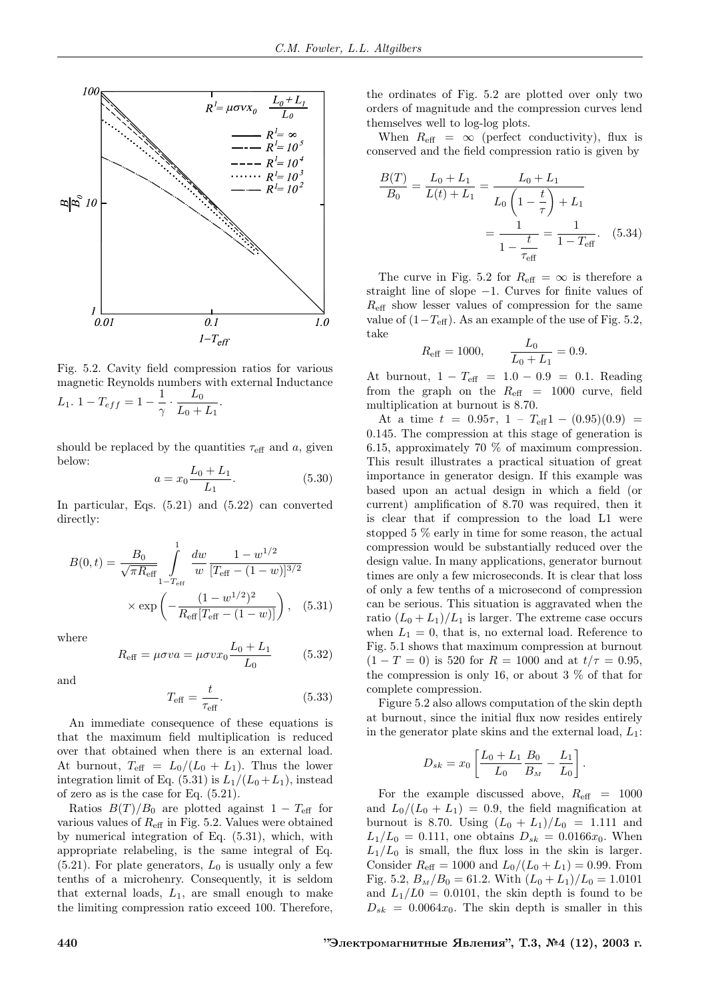

Fig. 5.2. Cavity field compression ratios for various magnetic Reynolds numbers with external Inductance L<sub>1</sub>. 1 – T<sub>eff</sub> =  $1 - \frac{1}{\gamma}$  $\frac{\overline{\phantom{0}}}{\gamma}$  .  $L_0$  $\frac{L_0}{L_0 + L_1}$ .

should be replaced by the quantities  $\tau_{\text{eff}}$  and a, given below:

$$
a = x_0 \frac{L_0 + L_1}{L_1}.
$$
\n(5.30)

In particular, Eqs. (5.21) and (5.22) can converted directly:

$$
B(0,t) = \frac{B_0}{\sqrt{\pi R_{\text{eff}}}} \int_{1-T_{\text{eff}}}^{1} \frac{dw}{w} \frac{1 - w^{1/2}}{[T_{\text{eff}} - (1 - w)]^{3/2}}
$$

$$
\times \exp\left(-\frac{(1 - w^{1/2})^2}{R_{\text{eff}}[T_{\text{eff}} - (1 - w)]}\right), \quad (5.31)
$$

where

$$
R_{\text{eff}} = \mu \sigma v a = \mu \sigma v x_0 \frac{L_0 + L_1}{L_0} \tag{5.32}
$$

and

$$
T_{\text{eff}} = \frac{t}{\tau_{\text{eff}}}.\tag{5.33}
$$

An immediate consequence of these equations is that the maximum field multiplication is reduced over that obtained when there is an external load. At burnout,  $T_{\text{eff}} = L_0/(L_0 + L_1)$ . Thus the lower integration limit of Eq.  $(5.31)$  is  $L_1/(L_0+L_1)$ , instead of zero as is the case for Eq. (5.21).

Ratios  $B(T)/B_0$  are plotted against 1 –  $T_{\text{eff}}$  for various values of  $R_{\text{eff}}$  in Fig. 5.2. Values were obtained by numerical integration of Eq. (5.31), which, with appropriate relabeling, is the same integral of Eq.  $(5.21)$ . For plate generators,  $L_0$  is usually only a few tenths of a microhenry. Consequently, it is seldom that external loads,  $L_1$ , are small enough to make the limiting compression ratio exceed 100. Therefore,

the ordinates of Fig. 5.2 are plotted over only two orders of magnitude and the compression curves lend themselves well to log-log plots.

When  $R_{\text{eff}} = \infty$  (perfect conductivity), flux is conserved and the field compression ratio is given by

$$
\frac{B(T)}{B_0} = \frac{L_0 + L_1}{L(t) + L_1} = \frac{L_0 + L_1}{L_0 \left(1 - \frac{t}{\tau}\right) + L_1}
$$

$$
= \frac{1}{1 - \frac{t}{\tau_{\text{eff}}}} = \frac{1}{1 - T_{\text{eff}}}. \quad (5.34)
$$

The curve in Fig. 5.2 for  $R_{\text{eff}} = \infty$  is therefore a straight line of slope −1. Curves for finite values of  $R_{\text{eff}}$  show lesser values of compression for the same value of  $(1-T_{\text{eff}})$ . As an example of the use of Fig. 5.2, take

$$
R_{\text{eff}} = 1000,
$$
  $\frac{L_0}{L_0 + L_1} = 0.9.$ 

At burnout,  $1 - T_{\text{eff}} = 1.0 - 0.9 = 0.1$ . Reading from the graph on the  $R_{\text{eff}}$  = 1000 curve, field multiplication at burnout is 8.70.

At a time  $t = 0.95\tau$ , 1 –  $T_{\text{eff}}1 - (0.95)(0.9) =$ 0.145. The compression at this stage of generation is 6.15, approximately 70 % of maximum compression. This result illustrates a practical situation of great importance in generator design. If this example was based upon an actual design in which a field (or current) amplification of 8.70 was required, then it is clear that if compression to the load L1 were stopped 5 % early in time for some reason, the actual compression would be substantially reduced over the design value. In many applications, generator burnout times are only a few microseconds. It is clear that loss of only a few tenths of a microsecond of compression can be serious. This situation is aggravated when the ratio  $(L_0 + L_1)/L_1$  is larger. The extreme case occurs when  $L_1 = 0$ , that is, no external load. Reference to Fig. 5.1 shows that maximum compression at burnout  $(1 - T = 0)$  is 520 for  $R = 1000$  and at  $t/\tau = 0.95$ , the compression is only 16, or about 3 % of that for complete compression.

Figure 5.2 also allows computation of the skin depth at burnout, since the initial flux now resides entirely in the generator plate skins and the external load,  $L_1$ :

$$
D_{sk} = x_0 \left[ \frac{L_0 + L_1}{L_0} \frac{B_0}{B_M} - \frac{L_1}{L_0} \right]
$$

.

For the example discussed above,  $R_{\text{eff}}$  = 1000 and  $L_0/(L_0 + L_1) = 0.9$ , the field magnification at burnout is 8.70. Using  $(L_0 + L_1)/L_0 = 1.111$  and  $L_1/L_0 = 0.111$ , one obtains  $D_{sk} = 0.0166x_0$ . When  $L_1/L_0$  is small, the flux loss in the skin is larger. Consider  $R_{\text{eff}} = 1000$  and  $L_0/(L_0 + L_1) = 0.99$ . From Fig. 5.2,  $B_M/B_0 = 61.2$ . With  $(L_0 + L_1)/L_0 = 1.0101$ and  $L_1/L0 = 0.0101$ , the skin depth is found to be  $D_{sk} = 0.0064x_0$ . The skin depth is smaller in this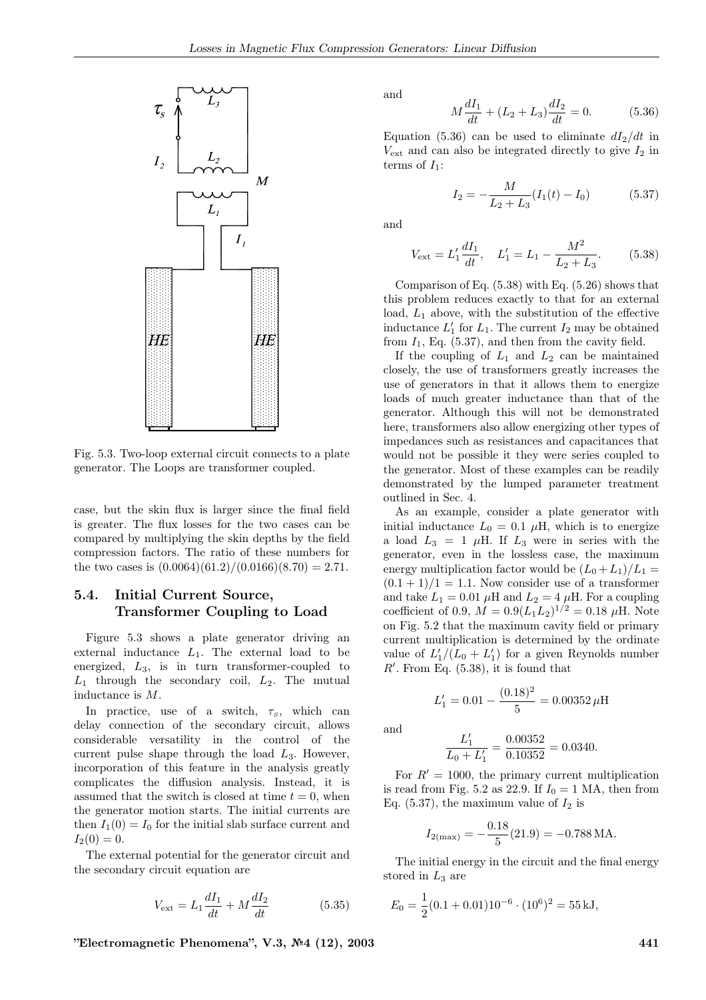

Fig. 5.3. Two-loop external circuit connects to a plate generator. The Loops are transformer coupled.

case, but the skin flux is larger since the final field is greater. The flux losses for the two cases can be compared by multiplying the skin depths by the field compression factors. The ratio of these numbers for the two cases is  $(0.0064)(61.2)/(0.0166)(8.70) = 2.71$ .

## 5.4. Initial Current Source, Transformer Coupling to Load

Figure 5.3 shows a plate generator driving an external inductance  $L_1$ . The external load to be energized, L3, is in turn transformer-coupled to  $L_1$  through the secondary coil,  $L_2$ . The mutual inductance is M.

In practice, use of a switch,  $\tau_s$ , which can delay connection of the secondary circuit, allows considerable versatility in the control of the current pulse shape through the load  $L_3$ . However, incorporation of this feature in the analysis greatly complicates the diffusion analysis. Instead, it is assumed that the switch is closed at time  $t = 0$ , when the generator motion starts. The initial currents are then  $I_1(0) = I_0$  for the initial slab surface current and  $I_2(0) = 0.$ 

The external potential for the generator circuit and the secondary circuit equation are

$$
V_{\text{ext}} = L_1 \frac{dI_1}{dt} + M \frac{dI_2}{dt} \tag{5.35}
$$

and

$$
M\frac{dI_1}{dt} + (L_2 + L_3)\frac{dI_2}{dt} = 0.
$$
 (5.36)

Equation (5.36) can be used to eliminate  $dI_2/dt$  in  $V_{\text{ext}}$  and can also be integrated directly to give  $I_2$  in terms of  $I_1$ :

$$
I_2 = -\frac{M}{L_2 + L_3} (I_1(t) - I_0)
$$
 (5.37)

and

$$
V_{\text{ext}} = L_1' \frac{dI_1}{dt}, \quad L_1' = L_1 - \frac{M^2}{L_2 + L_3}.\tag{5.38}
$$

Comparison of Eq.  $(5.38)$  with Eq.  $(5.26)$  shows that this problem reduces exactly to that for an external load,  $L_1$  above, with the substitution of the effective inductance  $L'_1$  for  $L_1$ . The current  $I_2$  may be obtained from  $I_1$ , Eq. (5.37), and then from the cavity field.

If the coupling of  $L_1$  and  $L_2$  can be maintained closely, the use of transformers greatly increases the use of generators in that it allows them to energize loads of much greater inductance than that of the generator. Although this will not be demonstrated here, transformers also allow energizing other types of impedances such as resistances and capacitances that would not be possible it they were series coupled to the generator. Most of these examples can be readily demonstrated by the lumped parameter treatment outlined in Sec. 4.

As an example, consider a plate generator with initial inductance  $L_0 = 0.1 \mu H$ , which is to energize a load  $L_3 = 1$   $\mu$ H. If  $L_3$  were in series with the generator, even in the lossless case, the maximum energy multiplication factor would be  $(L_0 + L_1)/L_1 =$  $(0.1 + 1)/1 = 1.1$ . Now consider use of a transformer and take  $L_1 = 0.01 \mu H$  and  $L_2 = 4 \mu H$ . For a coupling coefficient of 0.9,  $M = 0.9 (L_1 L_2)^{1/2} = 0.18 \mu$ H. Note on Fig. 5.2 that the maximum cavity field or primary current multiplication is determined by the ordinate value of  $L'_1/(L_0 + L'_1)$  for a given Reynolds number  $R'$ . From Eq.  $(5.38)$ , it is found that

$$
L'_1 = 0.01 - \frac{(0.18)^2}{5} = 0.00352 \,\mu\text{H}
$$

and

$$
\frac{L_1'}{L_0 + L_1'} = \frac{0.00352}{0.10352} = 0.0340.
$$

For  $R' = 1000$ , the primary current multiplication is read from Fig. 5.2 as 22.9. If  $I_0 = 1$  MA, then from Eq. (5.37), the maximum value of  $I_2$  is

$$
I_{2(\text{max})} = -\frac{0.18}{5}(21.9) = -0.788 \text{ MA}.
$$

The initial energy in the circuit and the final energy stored in  $L_3$  are

$$
E_0 = \frac{1}{2}(0.1 + 0.01)10^{-6} \cdot (10^6)^2 = 55 \,\text{kJ},
$$

 $"Electromagnetic Phenomena", V.3, N<sup>6</sup>4 (12), 2003$  441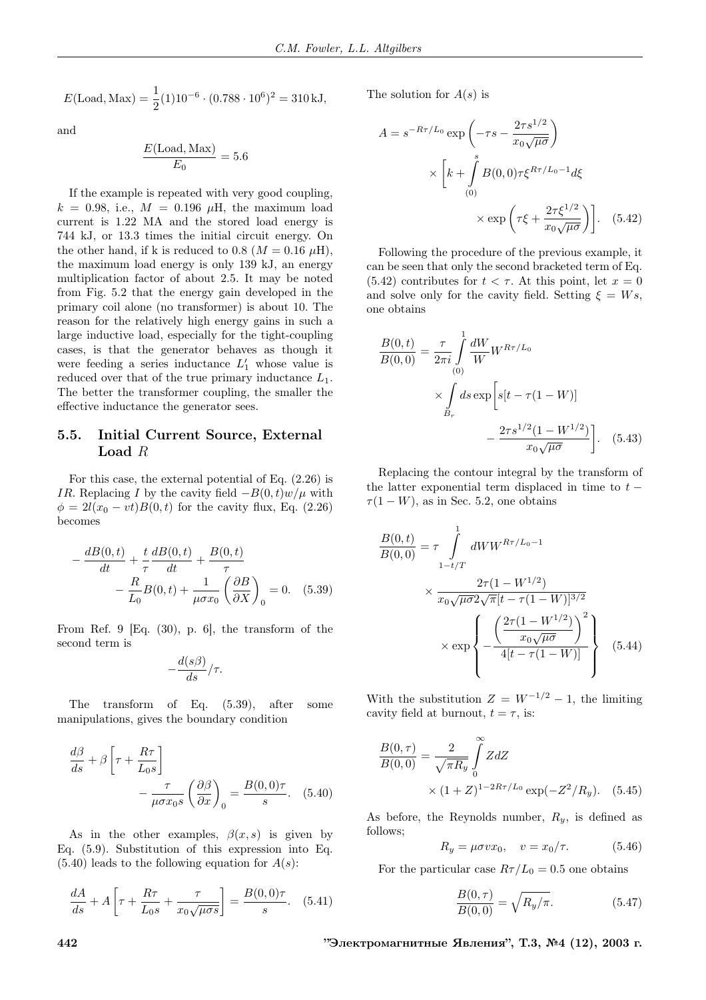$$
E(\text{Load}, \text{Max}) = \frac{1}{2}(1)10^{-6} \cdot (0.788 \cdot 10^6)^2 = 310 \,\text{kJ},
$$

and

$$
\frac{E(\text{Load}, \text{Max})}{E_0} = 5.6
$$

If the example is repeated with very good coupling,  $k = 0.98$ , i.e.,  $M = 0.196 \mu H$ , the maximum load current is 1.22 MA and the stored load energy is 744 kJ, or 13.3 times the initial circuit energy. On the other hand, if k is reduced to 0.8 ( $M = 0.16 \mu$ H), the maximum load energy is only 139 kJ, an energy multiplication factor of about 2.5. It may be noted from Fig. 5.2 that the energy gain developed in the primary coil alone (no transformer) is about 10. The reason for the relatively high energy gains in such a large inductive load, especially for the tight-coupling cases, is that the generator behaves as though it were feeding a series inductance  $L'_1$  whose value is reduced over that of the true primary inductance  $L_1$ . The better the transformer coupling, the smaller the effective inductance the generator sees.

### 5.5. Initial Current Source, External Load R

For this case, the external potential of Eq. (2.26) is IR. Replacing I by the cavity field  $-B(0,t)w/\mu$  with  $\phi = 2l(x_0 - vt)B(0, t)$  for the cavity flux, Eq. (2.26) becomes

$$
-\frac{dB(0,t)}{dt} + \frac{t}{\tau} \frac{dB(0,t)}{dt} + \frac{B(0,t)}{\tau}
$$

$$
-\frac{R}{L_0}B(0,t) + \frac{1}{\mu \sigma x_0} \left(\frac{\partial B}{\partial X}\right)_0 = 0. \quad (5.39)
$$

From Ref. 9 [Eq. (30), p. 6], the transform of the second term is

$$
-\frac{d(s\beta)}{ds}/\tau.
$$

The transform of Eq. (5.39), after some manipulations, gives the boundary condition

$$
\frac{d\beta}{ds} + \beta \left[ \tau + \frac{R\tau}{L_0 s} \right] - \frac{\tau}{\mu \sigma x_0 s} \left( \frac{\partial \beta}{\partial x} \right)_0 = \frac{B(0,0)\tau}{s}.
$$
 (5.40)

As in the other examples,  $\beta(x, s)$  is given by Eq. (5.9). Substitution of this expression into Eq.  $(5.40)$  leads to the following equation for  $A(s)$ :

$$
\frac{dA}{ds} + A\left[\tau + \frac{R\tau}{L_0 s} + \frac{\tau}{x_0 \sqrt{\mu \sigma s}}\right] = \frac{B(0,0)\tau}{s}.
$$
 (5.41)

The solution for  $A(s)$  is

$$
A = s^{-R\tau/L_0} \exp\left(-\tau s - \frac{2\tau s^{1/2}}{x_0\sqrt{\mu\sigma}}\right)
$$

$$
\times \left[k + \int_{(0)}^s B(0,0)\tau \xi^{R\tau/L_0 - 1} d\xi
$$

$$
\times \exp\left(\tau \xi + \frac{2\tau \xi^{1/2}}{x_0\sqrt{\mu\sigma}}\right)\right]. \quad (5.42)
$$

Following the procedure of the previous example, it can be seen that only the second bracketed term of Eq. (5.42) contributes for  $t < \tau$ . At this point, let  $x = 0$ and solve only for the cavity field. Setting  $\xi = Ws$ , one obtains

$$
\frac{B(0,t)}{B(0,0)} = \frac{\tau}{2\pi i} \int_{(0)}^{1} \frac{dW}{W} W^{R\tau/L_0}
$$

$$
\times \int_{B_r} ds \exp\left[s[t - \tau(1 - W)]\right]
$$

$$
-\frac{2\tau s^{1/2}(1 - W^{1/2})}{x_0\sqrt{\mu\sigma}}\right].
$$
(5.43)

Replacing the contour integral by the transform of the latter exponential term displaced in time to  $t \tau(1-W)$ , as in Sec. 5.2, one obtains

$$
\frac{B(0,t)}{B(0,0)} = \tau \int_{1-t/T}^{1} dWW^{R\tau/L_0 - 1}
$$

$$
\times \frac{2\tau (1 - W^{1/2})}{x_0 \sqrt{\mu \sigma} 2\sqrt{\pi} [t - \tau (1 - W)]^{3/2}}
$$

$$
\times \exp \left\{ -\frac{\left(\frac{2\tau (1 - W^{1/2})}{x_0 \sqrt{\mu \sigma}}\right)^2}{4[t - \tau (1 - W)]} \right\}
$$
(5.44)

With the substitution  $Z = W^{-1/2} - 1$ , the limiting cavity field at burnout,  $t = \tau$ , is:

$$
\frac{B(0,\tau)}{B(0,0)} = \frac{2}{\sqrt{\pi R_y}} \int_{0}^{\infty} ZdZ
$$
  
×  $(1+Z)^{1-2R\tau/L_0} \exp(-Z^2/R_y).$  (5.45)

As before, the Reynolds number,  $R_y$ , is defined as follows;

$$
R_y = \mu \sigma v x_0, \quad v = x_0/\tau. \tag{5.46}
$$

For the particular case  $R\tau/L_0 = 0.5$  one obtains

$$
\frac{B(0,\tau)}{B(0,0)} = \sqrt{R_y/\pi}.
$$
\n(5.47)

442 "Электромагнитные Явления", Т.3, №4 (12), 2003 г.